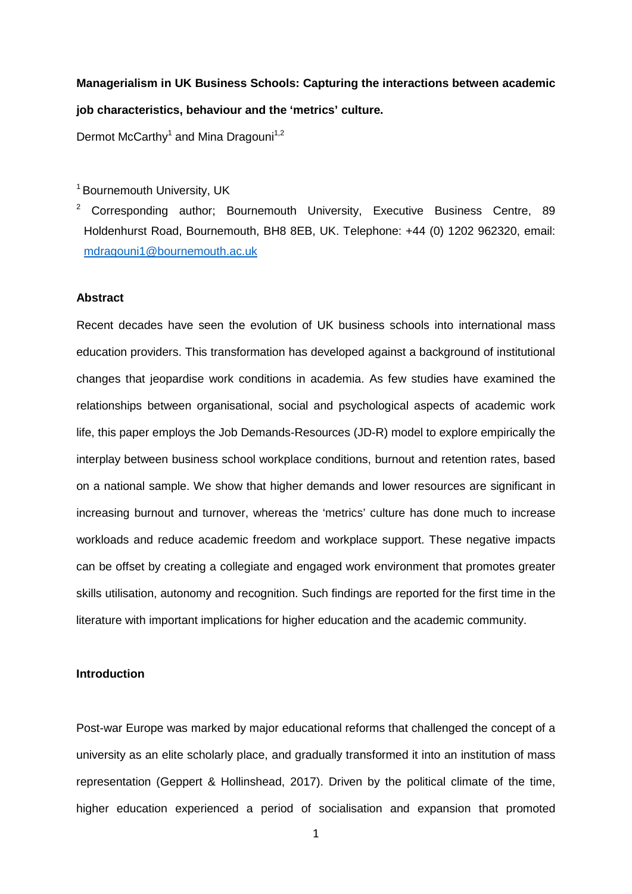# **Managerialism in UK Business Schools: Capturing the interactions between academic job characteristics, behaviour and the 'metrics' culture.**

Dermot McCarthy<sup>1</sup> and Mina Dragouni<sup>1,2</sup>

<sup>1</sup> Bournemouth University, UK

<sup>2</sup> Corresponding author; Bournemouth University, Executive Business Centre, 89 Holdenhurst Road, Bournemouth, BH8 8EB, UK. Telephone: +44 (0) 1202 962320, email: [mdragouni1@bournemouth.ac.uk](mailto:mdragouni1@bournemouth.ac.uk)

#### **Abstract**

Recent decades have seen the evolution of UK business schools into international mass education providers. This transformation has developed against a background of institutional changes that jeopardise work conditions in academia. As few studies have examined the relationships between organisational, social and psychological aspects of academic work life, this paper employs the Job Demands-Resources (JD-R) model to explore empirically the interplay between business school workplace conditions, burnout and retention rates, based on a national sample. We show that higher demands and lower resources are significant in increasing burnout and turnover, whereas the 'metrics' culture has done much to increase workloads and reduce academic freedom and workplace support. These negative impacts can be offset by creating a collegiate and engaged work environment that promotes greater skills utilisation, autonomy and recognition. Such findings are reported for the first time in the literature with important implications for higher education and the academic community.

#### **Introduction**

Post-war Europe was marked by major educational reforms that challenged the concept of a university as an elite scholarly place, and gradually transformed it into an institution of mass representation (Geppert & Hollinshead, 2017). Driven by the political climate of the time, higher education experienced a period of socialisation and expansion that promoted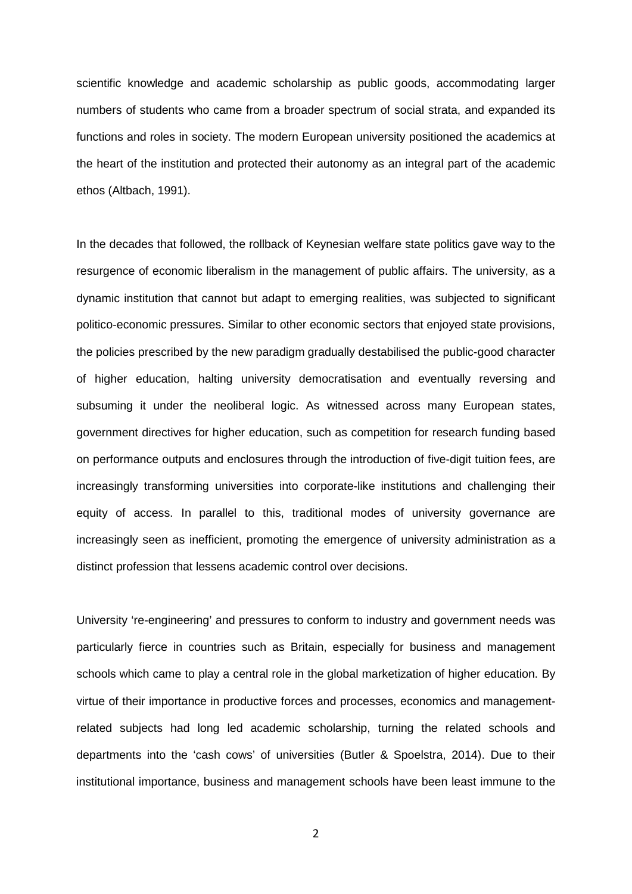scientific knowledge and academic scholarship as public goods, accommodating larger numbers of students who came from a broader spectrum of social strata, and expanded its functions and roles in society. The modern European university positioned the academics at the heart of the institution and protected their autonomy as an integral part of the academic ethos (Altbach, 1991).

In the decades that followed, the rollback of Keynesian welfare state politics gave way to the resurgence of economic liberalism in the management of public affairs. The university, as a dynamic institution that cannot but adapt to emerging realities, was subjected to significant politico-economic pressures. Similar to other economic sectors that enjoyed state provisions, the policies prescribed by the new paradigm gradually destabilised the public-good character of higher education, halting university democratisation and eventually reversing and subsuming it under the neoliberal logic. As witnessed across many European states, government directives for higher education, such as competition for research funding based on performance outputs and enclosures through the introduction of five-digit tuition fees, are increasingly transforming universities into corporate-like institutions and challenging their equity of access. In parallel to this, traditional modes of university governance are increasingly seen as inefficient, promoting the emergence of university administration as a distinct profession that lessens academic control over decisions.

University 're-engineering' and pressures to conform to industry and government needs was particularly fierce in countries such as Britain, especially for business and management schools which came to play a central role in the global marketization of higher education. By virtue of their importance in productive forces and processes, economics and managementrelated subjects had long led academic scholarship, turning the related schools and departments into the 'cash cows' of universities (Butler & Spoelstra, 2014). Due to their institutional importance, business and management schools have been least immune to the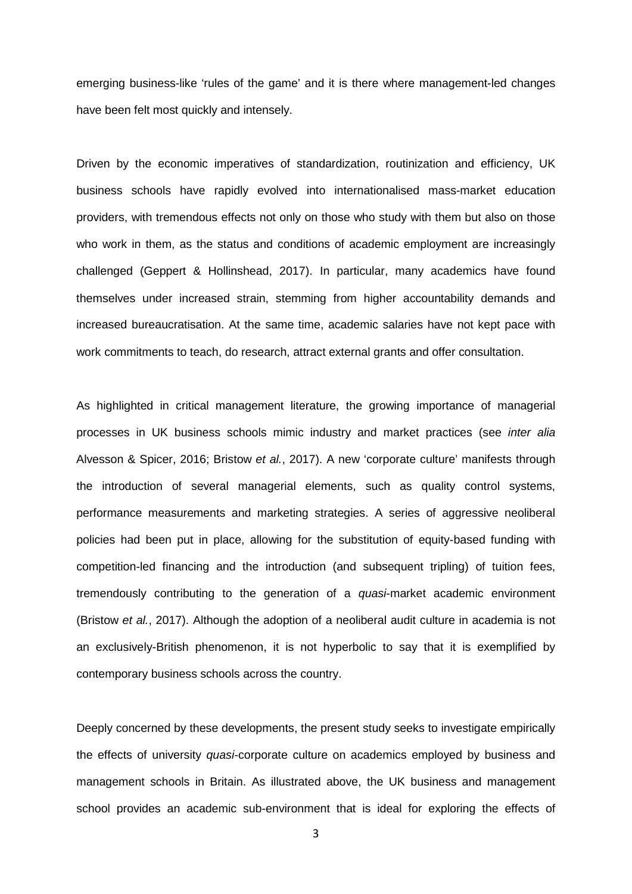emerging business-like 'rules of the game' and it is there where management-led changes have been felt most quickly and intensely.

Driven by the economic imperatives of standardization, routinization and efficiency, UK business schools have rapidly evolved into internationalised mass-market education providers, with tremendous effects not only on those who study with them but also on those who work in them, as the status and conditions of academic employment are increasingly challenged (Geppert & Hollinshead, 2017). In particular, many academics have found themselves under increased strain, stemming from higher accountability demands and increased bureaucratisation. At the same time, academic salaries have not kept pace with work commitments to teach, do research, attract external grants and offer consultation.

As highlighted in critical management literature, the growing importance of managerial processes in UK business schools mimic industry and market practices (see *inter alia* Alvesson & Spicer, 2016; Bristow *et al.*, 2017). A new 'corporate culture' manifests through the introduction of several managerial elements, such as quality control systems, performance measurements and marketing strategies. A series of aggressive neoliberal policies had been put in place, allowing for the substitution of equity-based funding with competition-led financing and the introduction (and subsequent tripling) of tuition fees, tremendously contributing to the generation of a *quasi*-market academic environment (Bristow *et al.*, 2017). Although the adoption of a neoliberal audit culture in academia is not an exclusively-British phenomenon, it is not hyperbolic to say that it is exemplified by contemporary business schools across the country.

Deeply concerned by these developments, the present study seeks to investigate empirically the effects of university *quasi-*corporate culture on academics employed by business and management schools in Britain. As illustrated above, the UK business and management school provides an academic sub-environment that is ideal for exploring the effects of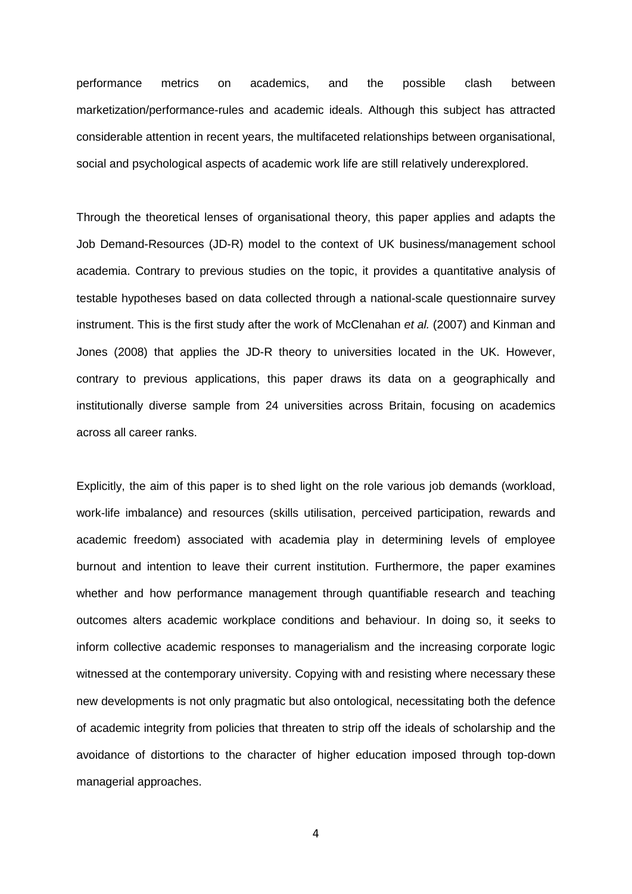performance metrics on academics, and the possible clash between marketization/performance-rules and academic ideals. Although this subject has attracted considerable attention in recent years, the multifaceted relationships between organisational, social and psychological aspects of academic work life are still relatively underexplored.

Through the theoretical lenses of organisational theory, this paper applies and adapts the Job Demand-Resources (JD-R) model to the context of UK business/management school academia. Contrary to previous studies on the topic, it provides a quantitative analysis of testable hypotheses based on data collected through a national-scale questionnaire survey instrument. This is the first study after the work of McClenahan *et al.* (2007) and Kinman and Jones (2008) that applies the JD-R theory to universities located in the UK. However, contrary to previous applications, this paper draws its data on a geographically and institutionally diverse sample from 24 universities across Britain, focusing on academics across all career ranks.

Explicitly, the aim of this paper is to shed light on the role various job demands (workload, work-life imbalance) and resources (skills utilisation, perceived participation, rewards and academic freedom) associated with academia play in determining levels of employee burnout and intention to leave their current institution. Furthermore, the paper examines whether and how performance management through quantifiable research and teaching outcomes alters academic workplace conditions and behaviour. In doing so, it seeks to inform collective academic responses to managerialism and the increasing corporate logic witnessed at the contemporary university. Copying with and resisting where necessary these new developments is not only pragmatic but also ontological, necessitating both the defence of academic integrity from policies that threaten to strip off the ideals of scholarship and the avoidance of distortions to the character of higher education imposed through top-down managerial approaches.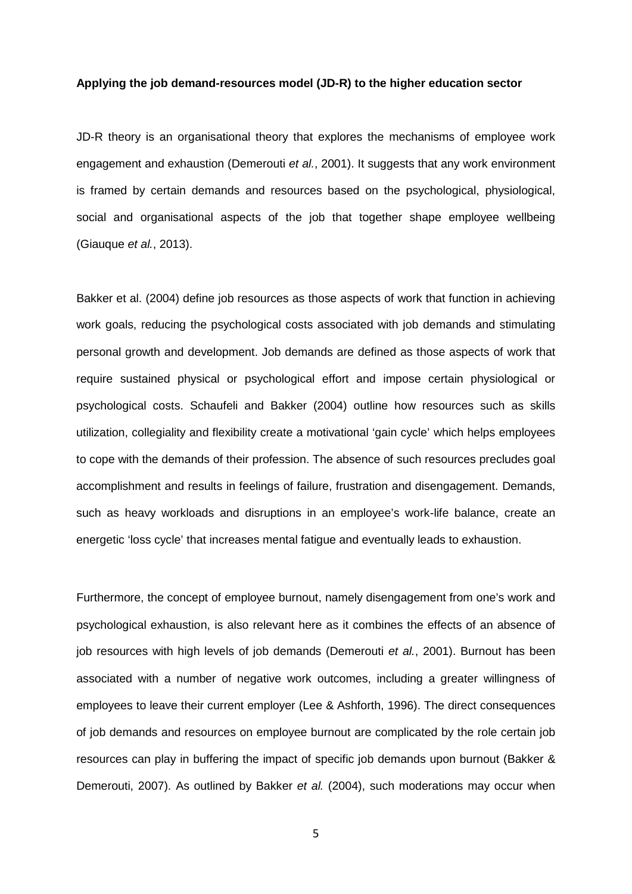#### **Applying the job demand-resources model (JD-R) to the higher education sector**

JD-R theory is an organisational theory that explores the mechanisms of employee work engagement and exhaustion (Demerouti *et al.*, 2001). It suggests that any work environment is framed by certain demands and resources based on the psychological, physiological, social and organisational aspects of the job that together shape employee wellbeing (Giauque *et al.*, 2013).

Bakker et al. (2004) define job resources as those aspects of work that function in achieving work goals, reducing the psychological costs associated with job demands and stimulating personal growth and development. Job demands are defined as those aspects of work that require sustained physical or psychological effort and impose certain physiological or psychological costs. Schaufeli and Bakker (2004) outline how resources such as skills utilization, collegiality and flexibility create a motivational 'gain cycle' which helps employees to cope with the demands of their profession. The absence of such resources precludes goal accomplishment and results in feelings of failure, frustration and disengagement. Demands, such as heavy workloads and disruptions in an employee's work-life balance, create an energetic 'loss cycle' that increases mental fatigue and eventually leads to exhaustion.

Furthermore, the concept of employee burnout, namely disengagement from one's work and psychological exhaustion, is also relevant here as it combines the effects of an absence of job resources with high levels of job demands (Demerouti *et al.*, 2001). Burnout has been associated with a number of negative work outcomes, including a greater willingness of employees to leave their current employer (Lee & Ashforth, 1996). The direct consequences of job demands and resources on employee burnout are complicated by the role certain job resources can play in buffering the impact of specific job demands upon burnout (Bakker & Demerouti, 2007). As outlined by Bakker *et al.* (2004), such moderations may occur when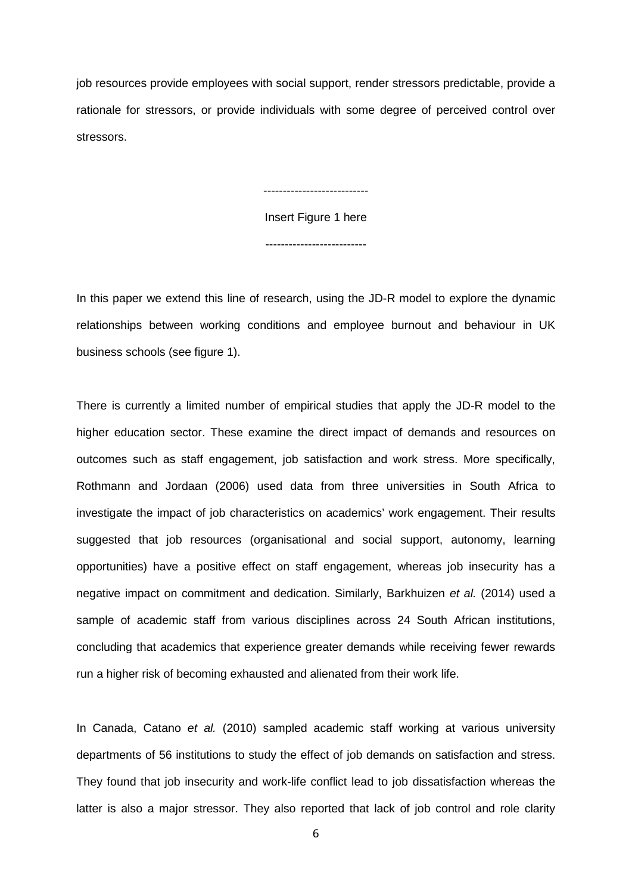job resources provide employees with social support, render stressors predictable, provide a rationale for stressors, or provide individuals with some degree of perceived control over stressors.

> --------------------------- Insert Figure 1 here --------------------------

In this paper we extend this line of research, using the JD-R model to explore the dynamic relationships between working conditions and employee burnout and behaviour in UK business schools (see figure 1).

There is currently a limited number of empirical studies that apply the JD-R model to the higher education sector. These examine the direct impact of demands and resources on outcomes such as staff engagement, job satisfaction and work stress. More specifically, Rothmann and Jordaan (2006) used data from three universities in South Africa to investigate the impact of job characteristics on academics' work engagement. Their results suggested that job resources (organisational and social support, autonomy, learning opportunities) have a positive effect on staff engagement, whereas job insecurity has a negative impact on commitment and dedication. Similarly, Barkhuizen *et al.* (2014) used a sample of academic staff from various disciplines across 24 South African institutions, concluding that academics that experience greater demands while receiving fewer rewards run a higher risk of becoming exhausted and alienated from their work life.

In Canada, Catano *et al.* (2010) sampled academic staff working at various university departments of 56 institutions to study the effect of job demands on satisfaction and stress. They found that job insecurity and work-life conflict lead to job dissatisfaction whereas the latter is also a major stressor. They also reported that lack of job control and role clarity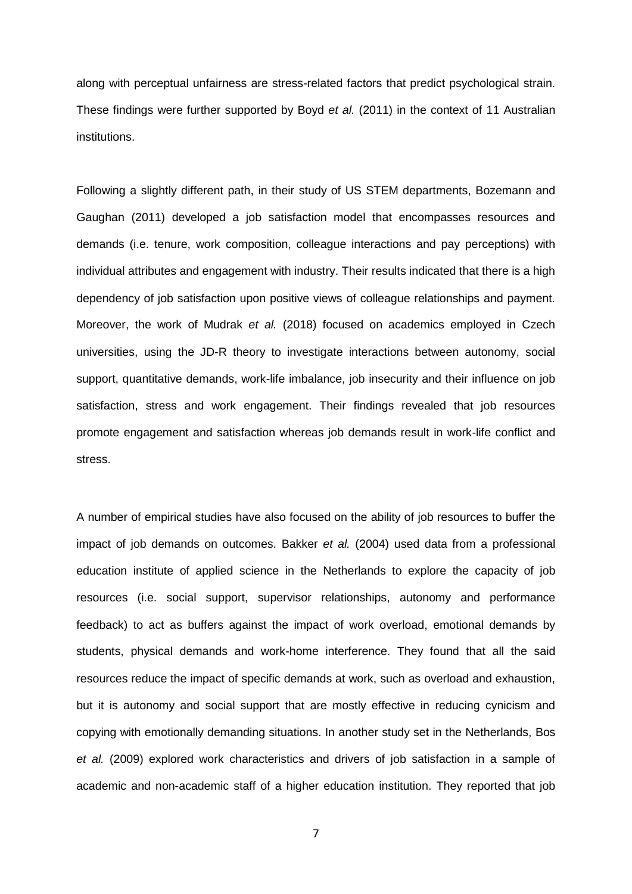along with perceptual unfairness are stress-related factors that predict psychological strain. These findings were further supported by Boyd *et al.* (2011) in the context of 11 Australian institutions.

Following a slightly different path, in their study of US STEM departments, Bozemann and Gaughan (2011) developed a job satisfaction model that encompasses resources and demands (i.e. tenure, work composition, colleague interactions and pay perceptions) with individual attributes and engagement with industry. Their results indicated that there is a high dependency of job satisfaction upon positive views of colleague relationships and payment. Moreover, the work of Mudrak *et al.* (2018) focused on academics employed in Czech universities, using the JD-R theory to investigate interactions between autonomy, social support, quantitative demands, work-life imbalance, job insecurity and their influence on job satisfaction, stress and work engagement. Their findings revealed that job resources promote engagement and satisfaction whereas job demands result in work-life conflict and stress.

A number of empirical studies have also focused on the ability of job resources to buffer the impact of job demands on outcomes. Bakker *et al.* (2004) used data from a professional education institute of applied science in the Netherlands to explore the capacity of job resources (i.e. social support, supervisor relationships, autonomy and performance feedback) to act as buffers against the impact of work overload, emotional demands by students, physical demands and work-home interference. They found that all the said resources reduce the impact of specific demands at work, such as overload and exhaustion, but it is autonomy and social support that are mostly effective in reducing cynicism and copying with emotionally demanding situations. In another study set in the Netherlands, Bos *et al.* (2009) explored work characteristics and drivers of job satisfaction in a sample of academic and non-academic staff of a higher education institution. They reported that job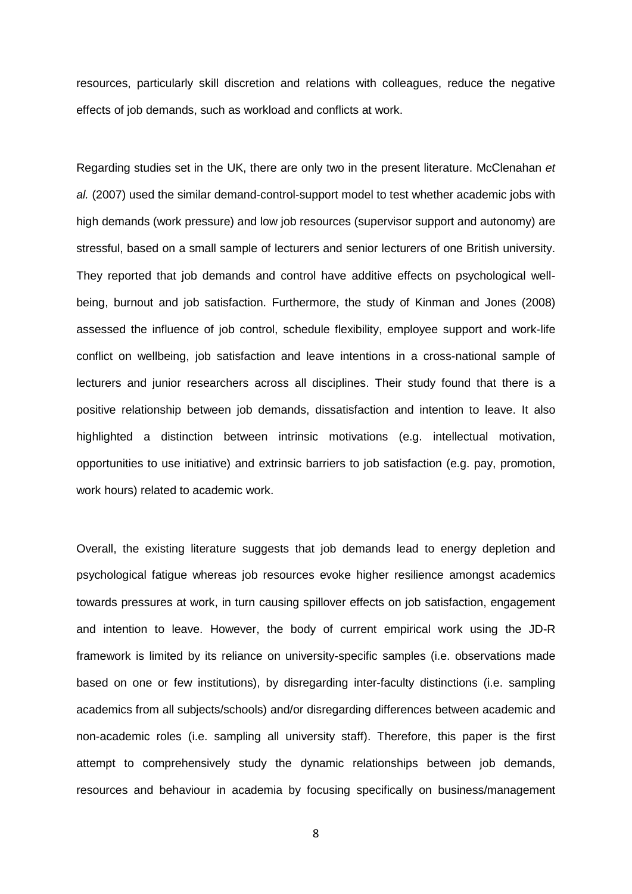resources, particularly skill discretion and relations with colleagues, reduce the negative effects of job demands, such as workload and conflicts at work.

Regarding studies set in the UK, there are only two in the present literature. McClenahan *et al.* (2007) used the similar demand-control-support model to test whether academic jobs with high demands (work pressure) and low job resources (supervisor support and autonomy) are stressful, based on a small sample of lecturers and senior lecturers of one British university. They reported that job demands and control have additive effects on psychological wellbeing, burnout and job satisfaction. Furthermore, the study of Kinman and Jones (2008) assessed the influence of job control, schedule flexibility, employee support and work-life conflict on wellbeing, job satisfaction and leave intentions in a cross-national sample of lecturers and junior researchers across all disciplines. Their study found that there is a positive relationship between job demands, dissatisfaction and intention to leave. It also highlighted a distinction between intrinsic motivations (e.g. intellectual motivation, opportunities to use initiative) and extrinsic barriers to job satisfaction (e.g. pay, promotion, work hours) related to academic work.

Overall, the existing literature suggests that job demands lead to energy depletion and psychological fatigue whereas job resources evoke higher resilience amongst academics towards pressures at work, in turn causing spillover effects on job satisfaction, engagement and intention to leave. However, the body of current empirical work using the JD-R framework is limited by its reliance on university-specific samples (i.e. observations made based on one or few institutions), by disregarding inter-faculty distinctions (i.e. sampling academics from all subjects/schools) and/or disregarding differences between academic and non-academic roles (i.e. sampling all university staff). Therefore, this paper is the first attempt to comprehensively study the dynamic relationships between job demands, resources and behaviour in academia by focusing specifically on business/management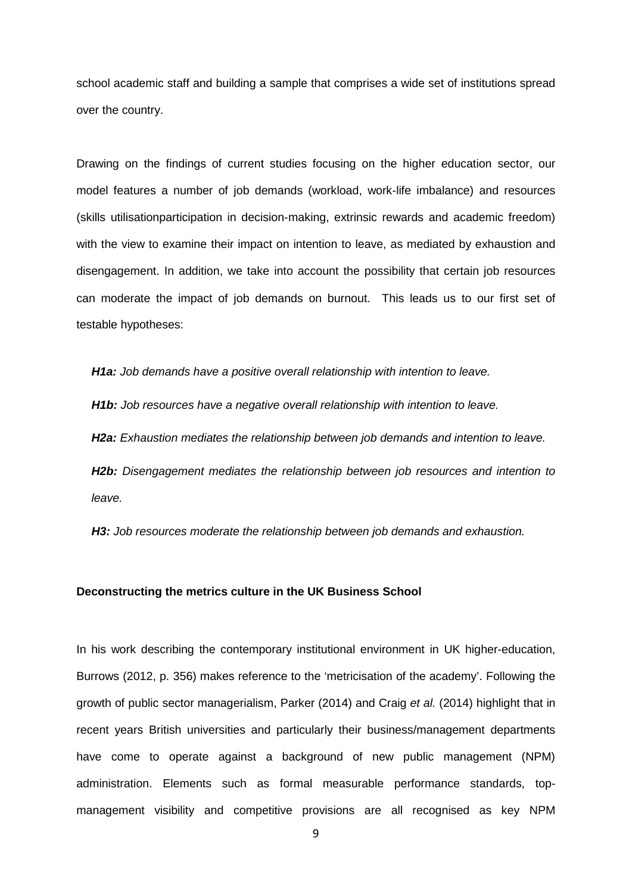school academic staff and building a sample that comprises a wide set of institutions spread over the country.

Drawing on the findings of current studies focusing on the higher education sector, our model features a number of job demands (workload, work-life imbalance) and resources (skills utilisationparticipation in decision-making, extrinsic rewards and academic freedom) with the view to examine their impact on intention to leave, as mediated by exhaustion and disengagement. In addition, we take into account the possibility that certain job resources can moderate the impact of job demands on burnout. This leads us to our first set of testable hypotheses:

*H1a: Job demands have a positive overall relationship with intention to leave.*

*H1b: Job resources have a negative overall relationship with intention to leave.*

*H2a: Exhaustion mediates the relationship between job demands and intention to leave.*

*H2b: Disengagement mediates the relationship between job resources and intention to leave.*

*H3: Job resources moderate the relationship between job demands and exhaustion.*

#### **Deconstructing the metrics culture in the UK Business School**

In his work describing the contemporary institutional environment in UK higher-education, Burrows (2012, p. 356) makes reference to the 'metricisation of the academy'. Following the growth of public sector managerialism, Parker (2014) and Craig *et al.* (2014) highlight that in recent years British universities and particularly their business/management departments have come to operate against a background of new public management (NPM) administration. Elements such as formal measurable performance standards, topmanagement visibility and competitive provisions are all recognised as key NPM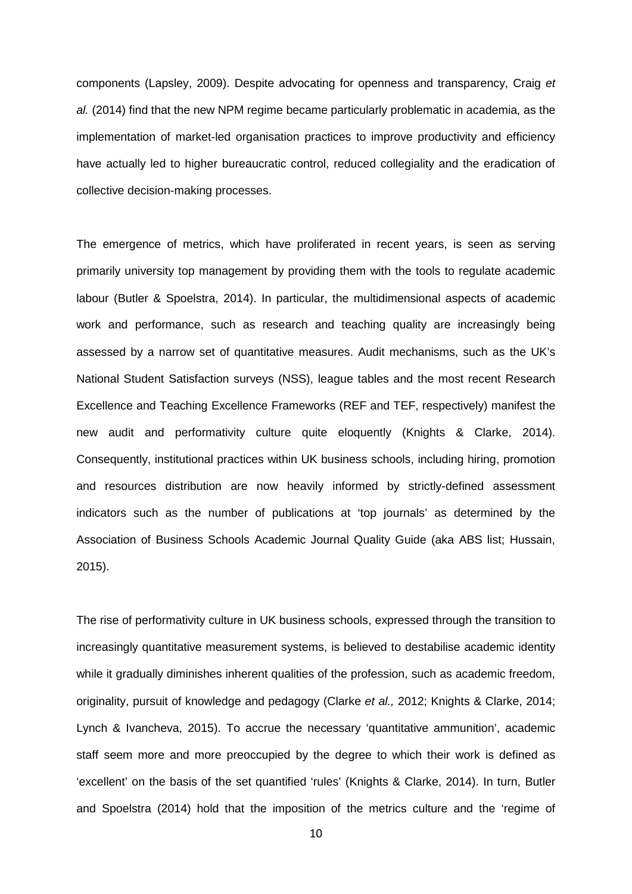components (Lapsley, 2009). Despite advocating for openness and transparency, Craig *et al.* (2014) find that the new NPM regime became particularly problematic in academia, as the implementation of market-led organisation practices to improve productivity and efficiency have actually led to higher bureaucratic control, reduced collegiality and the eradication of collective decision-making processes.

The emergence of metrics, which have proliferated in recent years, is seen as serving primarily university top management by providing them with the tools to regulate academic labour (Butler & Spoelstra, 2014). In particular, the multidimensional aspects of academic work and performance, such as research and teaching quality are increasingly being assessed by a narrow set of quantitative measures. Audit mechanisms, such as the UK's National Student Satisfaction surveys (NSS), league tables and the most recent Research Excellence and Teaching Excellence Frameworks (REF and TEF, respectively) manifest the new audit and performativity culture quite eloquently (Knights & Clarke, 2014). Consequently, institutional practices within UK business schools, including hiring, promotion and resources distribution are now heavily informed by strictly-defined assessment indicators such as the number of publications at 'top journals' as determined by the Association of Business Schools Academic Journal Quality Guide (aka ABS list; Hussain, 2015).

The rise of performativity culture in UK business schools, expressed through the transition to increasingly quantitative measurement systems, is believed to destabilise academic identity while it gradually diminishes inherent qualities of the profession, such as academic freedom, originality, pursuit of knowledge and pedagogy (Clarke *et al.,* 2012; Knights & Clarke, 2014; Lynch & Ivancheva, 2015). To accrue the necessary 'quantitative ammunition', academic staff seem more and more preoccupied by the degree to which their work is defined as 'excellent' on the basis of the set quantified 'rules' (Knights & Clarke, 2014). In turn, Butler and Spoelstra (2014) hold that the imposition of the metrics culture and the 'regime of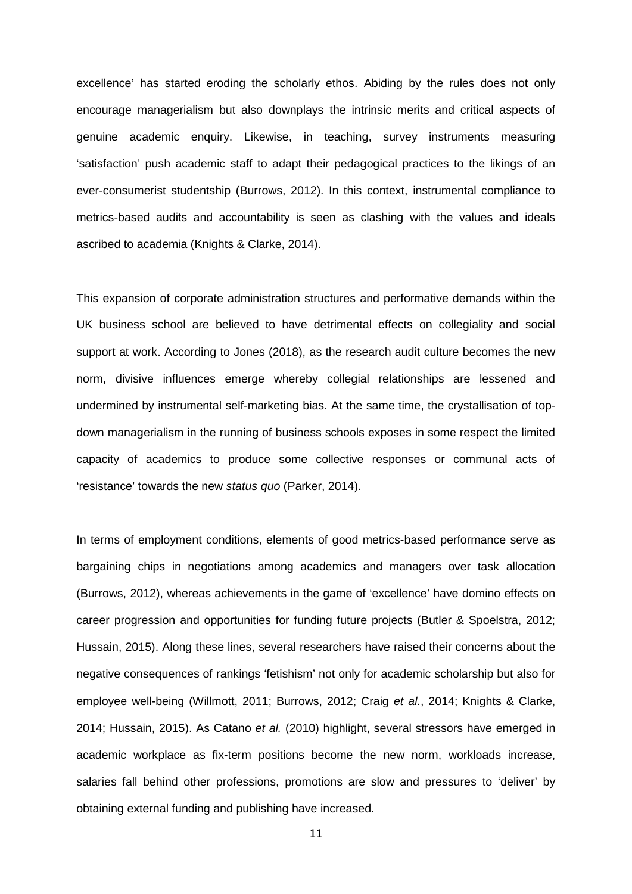excellence' has started eroding the scholarly ethos. Abiding by the rules does not only encourage managerialism but also downplays the intrinsic merits and critical aspects of genuine academic enquiry. Likewise, in teaching, survey instruments measuring 'satisfaction' push academic staff to adapt their pedagogical practices to the likings of an ever-consumerist studentship (Burrows, 2012). In this context, instrumental compliance to metrics-based audits and accountability is seen as clashing with the values and ideals ascribed to academia (Knights & Clarke, 2014).

This expansion of corporate administration structures and performative demands within the UK business school are believed to have detrimental effects on collegiality and social support at work. According to Jones (2018), as the research audit culture becomes the new norm, divisive influences emerge whereby collegial relationships are lessened and undermined by instrumental self-marketing bias. At the same time, the crystallisation of topdown managerialism in the running of business schools exposes in some respect the limited capacity of academics to produce some collective responses or communal acts of 'resistance' towards the new *status quo* (Parker, 2014).

In terms of employment conditions, elements of good metrics-based performance serve as bargaining chips in negotiations among academics and managers over task allocation (Burrows, 2012), whereas achievements in the game of 'excellence' have domino effects on career progression and opportunities for funding future projects (Butler & Spoelstra, 2012; Hussain, 2015). Along these lines, several researchers have raised their concerns about the negative consequences of rankings 'fetishism' not only for academic scholarship but also for employee well-being (Willmott, 2011; Burrows, 2012; Craig *et al.*, 2014; Knights & Clarke, 2014; Hussain, 2015). As Catano *et al.* (2010) highlight, several stressors have emerged in academic workplace as fix-term positions become the new norm, workloads increase, salaries fall behind other professions, promotions are slow and pressures to 'deliver' by obtaining external funding and publishing have increased.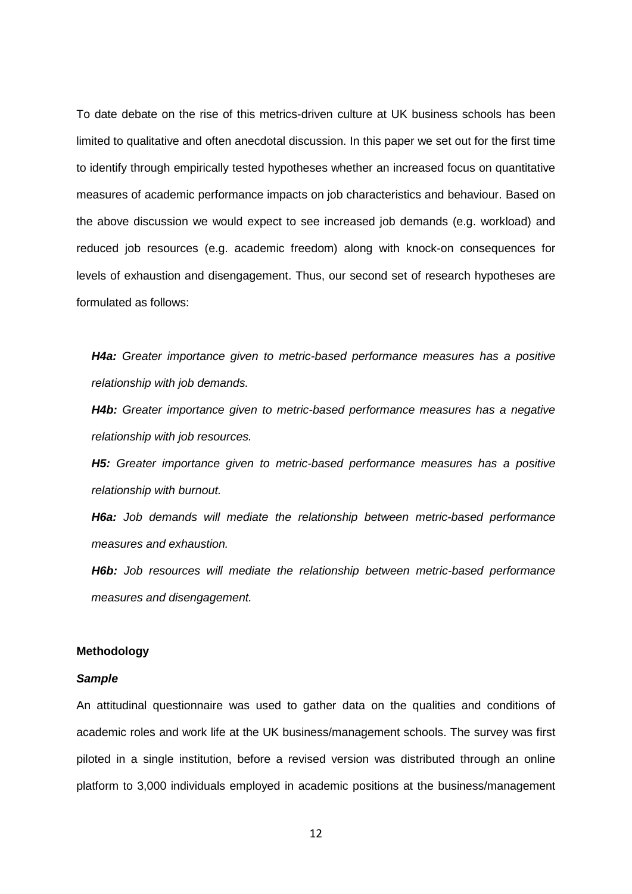To date debate on the rise of this metrics-driven culture at UK business schools has been limited to qualitative and often anecdotal discussion. In this paper we set out for the first time to identify through empirically tested hypotheses whether an increased focus on quantitative measures of academic performance impacts on job characteristics and behaviour. Based on the above discussion we would expect to see increased job demands (e.g. workload) and reduced job resources (e.g. academic freedom) along with knock-on consequences for levels of exhaustion and disengagement. Thus, our second set of research hypotheses are formulated as follows:

*H4a: Greater importance given to metric-based performance measures has a positive relationship with job demands.*

*H4b: Greater importance given to metric-based performance measures has a negative relationship with job resources.*

*H5: Greater importance given to metric-based performance measures has a positive relationship with burnout.*

*H6a: Job demands will mediate the relationship between metric-based performance measures and exhaustion.* 

*H6b: Job resources will mediate the relationship between metric-based performance measures and disengagement.*

#### **Methodology**

#### *Sample*

An attitudinal questionnaire was used to gather data on the qualities and conditions of academic roles and work life at the UK business/management schools. The survey was first piloted in a single institution, before a revised version was distributed through an online platform to 3,000 individuals employed in academic positions at the business/management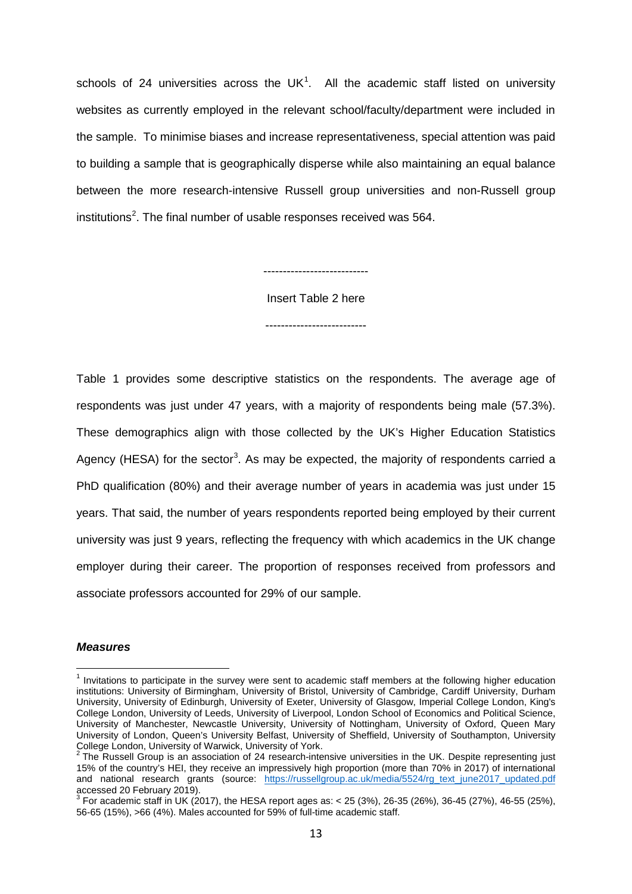schools of 24 universities across the UK<sup>[1](#page-12-0)</sup>. All the academic staff listed on university websites as currently employed in the relevant school/faculty/department were included in the sample. To minimise biases and increase representativeness, special attention was paid to building a sample that is geographically disperse while also maintaining an equal balance between the more research-intensive Russell group universities and non-Russell group institutions<sup>[2](#page-12-1)</sup>. The final number of usable responses received was 564.

> --------------------------- Insert Table 2 here

--------------------------

Table 1 provides some descriptive statistics on the respondents. The average age of respondents was just under 47 years, with a majority of respondents being male (57.3%). These demographics align with those collected by the UK's Higher Education Statistics Agency (HESA) for the sector<sup>[3](#page-12-2)</sup>. As may be expected, the majority of respondents carried a PhD qualification (80%) and their average number of years in academia was just under 15 years. That said, the number of years respondents reported being employed by their current university was just 9 years, reflecting the frequency with which academics in the UK change employer during their career. The proportion of responses received from professors and associate professors accounted for 29% of our sample.

#### *Measures*

<span id="page-12-0"></span> $<sup>1</sup>$  Invitations to participate in the survey were sent to academic staff members at the following higher education</sup> institutions: University of Birmingham, University of Bristol, University of Cambridge, Cardiff University, Durham University, University of Edinburgh, University of Exeter, University of Glasgow, Imperial College London, King's College London, University of Leeds, University of Liverpool, London School of Economics and Political Science, University of Manchester, Newcastle University, University of Nottingham, University of Oxford, Queen Mary University of London, Queen's University Belfast, University of Sheffield, University of Southampton, University College London, University of Warwick, University of York.<br><sup>2</sup> The De London, University of Warwick, University of York.

<span id="page-12-1"></span><sup>2</sup> The Russell Group is an association of 24 research-intensive universities in the UK. Despite representing just 15% of the country's HEI, they receive an impressively high proportion (more than 70% in 2017) of international and national research grants (source: [https://russellgroup.ac.uk/media/5524/rg\\_text\\_june2017\\_updated.pdf](https://russellgroup.ac.uk/media/5524/rg_text_june2017_updated.pdf) accessed 20 February 2019).

<span id="page-12-2"></span> $^3$  For academic staff in UK (2017), the HESA report ages as: < 25 (3%), 26-35 (26%), 36-45 (27%), 46-55 (25%), 56-65 (15%), >66 (4%). Males accounted for 59% of full-time academic staff.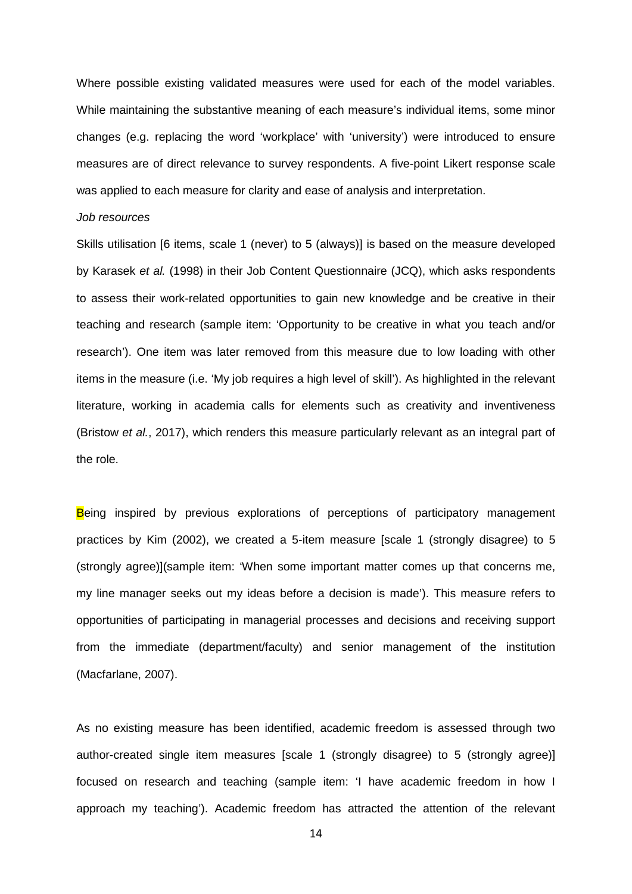Where possible existing validated measures were used for each of the model variables. While maintaining the substantive meaning of each measure's individual items, some minor changes (e.g. replacing the word 'workplace' with 'university') were introduced to ensure measures are of direct relevance to survey respondents. A five-point Likert response scale was applied to each measure for clarity and ease of analysis and interpretation.

#### *Job resources*

Skills utilisation [6 items, scale 1 (never) to 5 (always)] is based on the measure developed by Karasek *et al.* (1998) in their Job Content Questionnaire (JCQ), which asks respondents to assess their work-related opportunities to gain new knowledge and be creative in their teaching and research (sample item: 'Opportunity to be creative in what you teach and/or research'). One item was later removed from this measure due to low loading with other items in the measure (i.e. 'My job requires a high level of skill'). As highlighted in the relevant literature, working in academia calls for elements such as creativity and inventiveness (Bristow *et al.*, 2017), which renders this measure particularly relevant as an integral part of the role.

Being inspired by previous explorations of perceptions of participatory management practices by Kim (2002), we created a 5-item measure [scale 1 (strongly disagree) to 5 (strongly agree)](sample item: 'When some important matter comes up that concerns me, my line manager seeks out my ideas before a decision is made'). This measure refers to opportunities of participating in managerial processes and decisions and receiving support from the immediate (department/faculty) and senior management of the institution (Macfarlane, 2007).

As no existing measure has been identified, academic freedom is assessed through two author-created single item measures [scale 1 (strongly disagree) to 5 (strongly agree)] focused on research and teaching (sample item: 'I have academic freedom in how I approach my teaching'). Academic freedom has attracted the attention of the relevant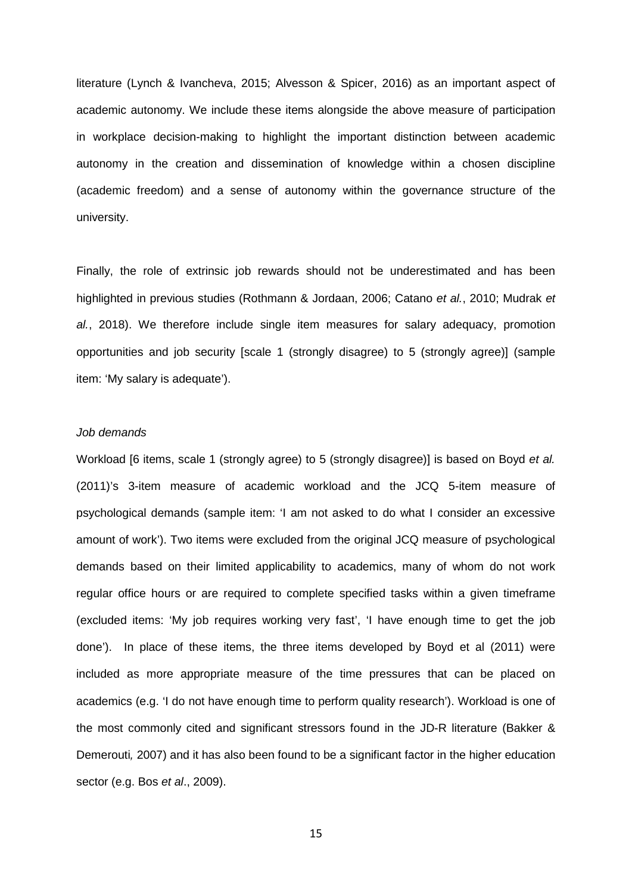literature (Lynch & Ivancheva, 2015; Alvesson & Spicer, 2016) as an important aspect of academic autonomy. We include these items alongside the above measure of participation in workplace decision-making to highlight the important distinction between academic autonomy in the creation and dissemination of knowledge within a chosen discipline (academic freedom) and a sense of autonomy within the governance structure of the university.

Finally, the role of extrinsic job rewards should not be underestimated and has been highlighted in previous studies (Rothmann & Jordaan, 2006; Catano *et al.*, 2010; Mudrak *et al.*, 2018). We therefore include single item measures for salary adequacy, promotion opportunities and job security [scale 1 (strongly disagree) to 5 (strongly agree)] (sample item: 'My salary is adequate').

#### *Job demands*

Workload [6 items, scale 1 (strongly agree) to 5 (strongly disagree)] is based on Boyd *et al.* (2011)'s 3-item measure of academic workload and the JCQ 5-item measure of psychological demands (sample item: 'I am not asked to do what I consider an excessive amount of work'). Two items were excluded from the original JCQ measure of psychological demands based on their limited applicability to academics, many of whom do not work regular office hours or are required to complete specified tasks within a given timeframe (excluded items: 'My job requires working very fast', 'I have enough time to get the job done'). In place of these items, the three items developed by Boyd et al (2011) were included as more appropriate measure of the time pressures that can be placed on academics (e.g. 'I do not have enough time to perform quality research'). Workload is one of the most commonly cited and significant stressors found in the JD-R literature (Bakker & Demerouti*,* 2007) and it has also been found to be a significant factor in the higher education sector (e.g. Bos *et al*., 2009).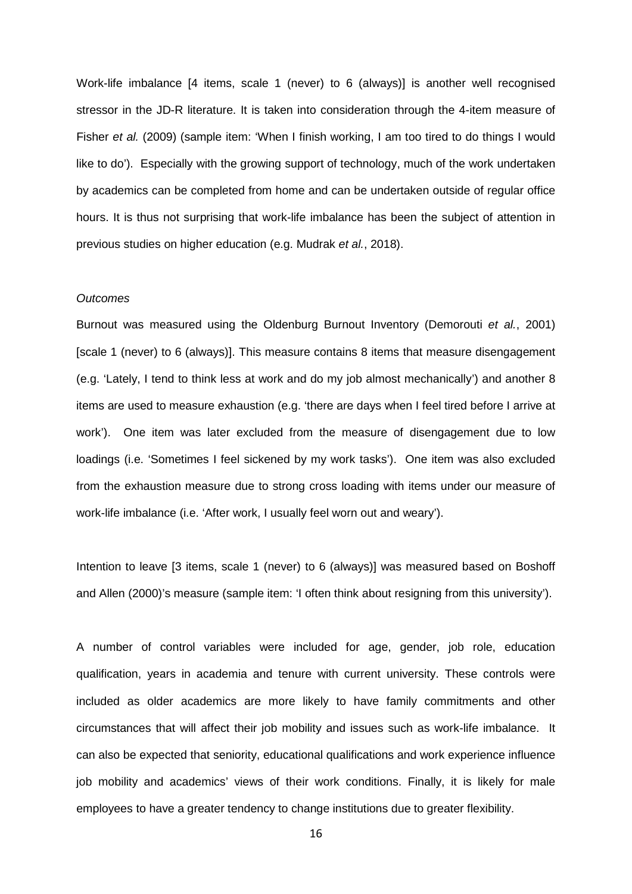Work-life imbalance [4 items, scale 1 (never) to 6 (always)] is another well recognised stressor in the JD-R literature. It is taken into consideration through the 4-item measure of Fisher *et al.* (2009) (sample item: 'When I finish working, I am too tired to do things I would like to do'). Especially with the growing support of technology, much of the work undertaken by academics can be completed from home and can be undertaken outside of regular office hours. It is thus not surprising that work-life imbalance has been the subject of attention in previous studies on higher education (e.g. Mudrak *et al.*, 2018).

#### *Outcomes*

Burnout was measured using the Oldenburg Burnout Inventory (Demorouti *et al.*, 2001) [scale 1 (never) to 6 (always)]. This measure contains 8 items that measure disengagement (e.g. 'Lately, I tend to think less at work and do my job almost mechanically') and another 8 items are used to measure exhaustion (e.g. 'there are days when I feel tired before I arrive at work'). One item was later excluded from the measure of disengagement due to low loadings (i.e. 'Sometimes I feel sickened by my work tasks'). One item was also excluded from the exhaustion measure due to strong cross loading with items under our measure of work-life imbalance (i.e. 'After work, I usually feel worn out and weary').

Intention to leave [3 items, scale 1 (never) to 6 (always)] was measured based on Boshoff and Allen (2000)'s measure (sample item: 'I often think about resigning from this university').

A number of control variables were included for age, gender, job role, education qualification, years in academia and tenure with current university. These controls were included as older academics are more likely to have family commitments and other circumstances that will affect their job mobility and issues such as work-life imbalance. It can also be expected that seniority, educational qualifications and work experience influence job mobility and academics' views of their work conditions. Finally, it is likely for male employees to have a greater tendency to change institutions due to greater flexibility.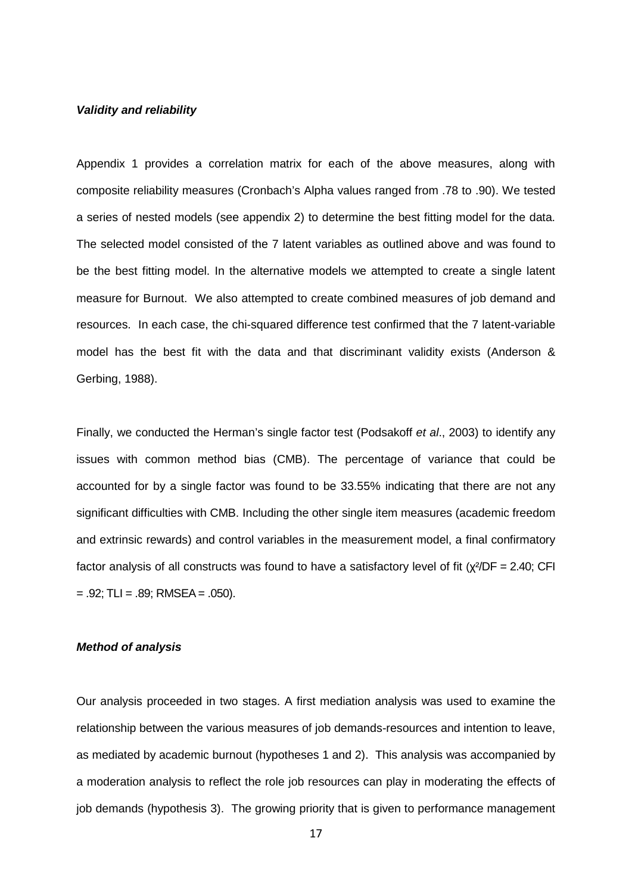#### *Validity and reliability*

Appendix 1 provides a correlation matrix for each of the above measures, along with composite reliability measures (Cronbach's Alpha values ranged from .78 to .90). We tested a series of nested models (see appendix 2) to determine the best fitting model for the data. The selected model consisted of the 7 latent variables as outlined above and was found to be the best fitting model. In the alternative models we attempted to create a single latent measure for Burnout. We also attempted to create combined measures of job demand and resources. In each case, the chi-squared difference test confirmed that the 7 latent-variable model has the best fit with the data and that discriminant validity exists (Anderson & Gerbing, 1988).

Finally, we conducted the Herman's single factor test (Podsakoff *et al*., 2003) to identify any issues with common method bias (CMB). The percentage of variance that could be accounted for by a single factor was found to be 33.55% indicating that there are not any significant difficulties with CMB. Including the other single item measures (academic freedom and extrinsic rewards) and control variables in the measurement model, a final confirmatory factor analysis of all constructs was found to have a satisfactory level of fit (χ²/DF = 2.40; CFI  $= .92$ ; TLI  $= .89$ ; RMSEA  $= .050$ ).

#### *Method of analysis*

Our analysis proceeded in two stages. A first mediation analysis was used to examine the relationship between the various measures of job demands-resources and intention to leave, as mediated by academic burnout (hypotheses 1 and 2). This analysis was accompanied by a moderation analysis to reflect the role job resources can play in moderating the effects of job demands (hypothesis 3). The growing priority that is given to performance management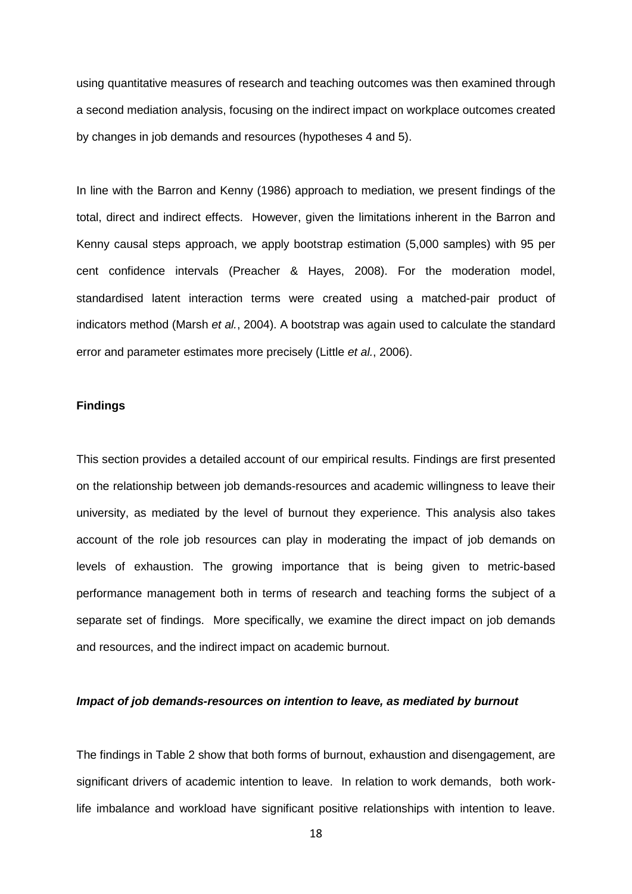using quantitative measures of research and teaching outcomes was then examined through a second mediation analysis, focusing on the indirect impact on workplace outcomes created by changes in job demands and resources (hypotheses 4 and 5).

In line with the Barron and Kenny (1986) approach to mediation, we present findings of the total, direct and indirect effects. However, given the limitations inherent in the Barron and Kenny causal steps approach, we apply bootstrap estimation (5,000 samples) with 95 per cent confidence intervals (Preacher & Hayes, 2008). For the moderation model, standardised latent interaction terms were created using a matched-pair product of indicators method (Marsh *et al.*, 2004). A bootstrap was again used to calculate the standard error and parameter estimates more precisely (Little *et al.*, 2006).

#### **Findings**

This section provides a detailed account of our empirical results. Findings are first presented on the relationship between job demands-resources and academic willingness to leave their university, as mediated by the level of burnout they experience. This analysis also takes account of the role job resources can play in moderating the impact of job demands on levels of exhaustion. The growing importance that is being given to metric-based performance management both in terms of research and teaching forms the subject of a separate set of findings. More specifically, we examine the direct impact on job demands and resources, and the indirect impact on academic burnout.

#### *Impact of job demands-resources on intention to leave, as mediated by burnout*

The findings in Table 2 show that both forms of burnout, exhaustion and disengagement, are significant drivers of academic intention to leave. In relation to work demands, both worklife imbalance and workload have significant positive relationships with intention to leave.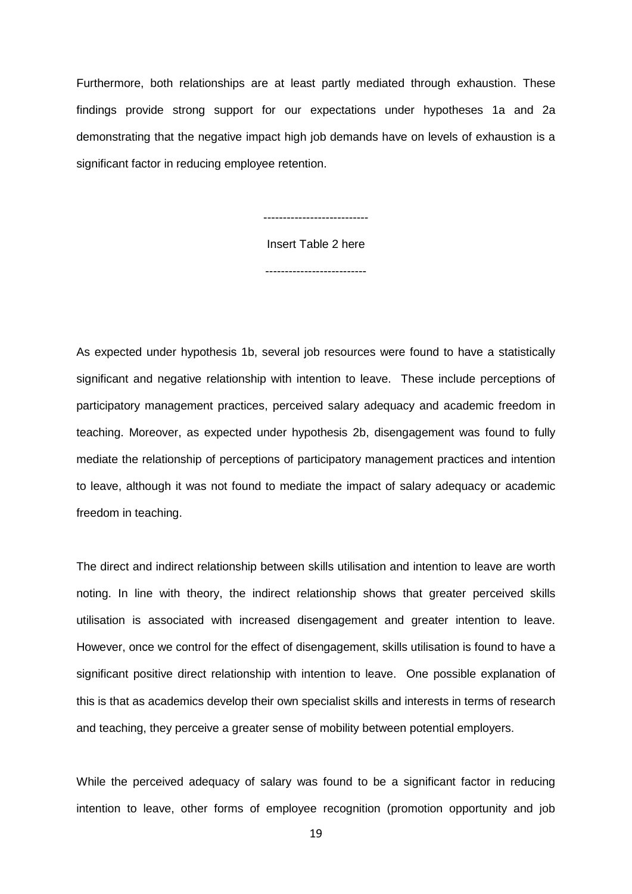Furthermore, both relationships are at least partly mediated through exhaustion. These findings provide strong support for our expectations under hypotheses 1a and 2a demonstrating that the negative impact high job demands have on levels of exhaustion is a significant factor in reducing employee retention.

> --------------------------- Insert Table 2 here

--------------------------

As expected under hypothesis 1b, several job resources were found to have a statistically significant and negative relationship with intention to leave. These include perceptions of participatory management practices, perceived salary adequacy and academic freedom in teaching. Moreover, as expected under hypothesis 2b, disengagement was found to fully mediate the relationship of perceptions of participatory management practices and intention to leave, although it was not found to mediate the impact of salary adequacy or academic freedom in teaching.

The direct and indirect relationship between skills utilisation and intention to leave are worth noting. In line with theory, the indirect relationship shows that greater perceived skills utilisation is associated with increased disengagement and greater intention to leave. However, once we control for the effect of disengagement, skills utilisation is found to have a significant positive direct relationship with intention to leave. One possible explanation of this is that as academics develop their own specialist skills and interests in terms of research and teaching, they perceive a greater sense of mobility between potential employers.

While the perceived adequacy of salary was found to be a significant factor in reducing intention to leave, other forms of employee recognition (promotion opportunity and job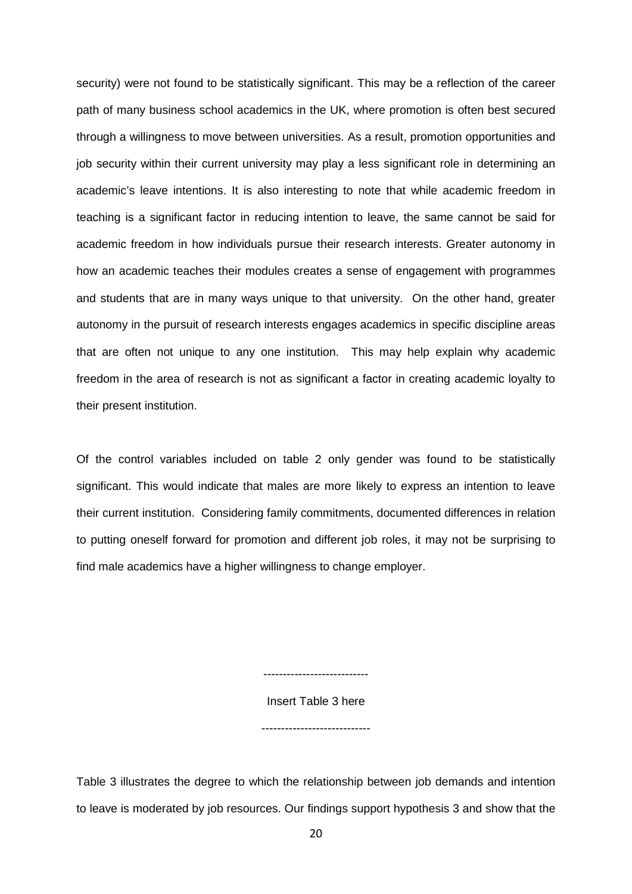security) were not found to be statistically significant. This may be a reflection of the career path of many business school academics in the UK, where promotion is often best secured through a willingness to move between universities. As a result, promotion opportunities and job security within their current university may play a less significant role in determining an academic's leave intentions. It is also interesting to note that while academic freedom in teaching is a significant factor in reducing intention to leave, the same cannot be said for academic freedom in how individuals pursue their research interests. Greater autonomy in how an academic teaches their modules creates a sense of engagement with programmes and students that are in many ways unique to that university. On the other hand, greater autonomy in the pursuit of research interests engages academics in specific discipline areas that are often not unique to any one institution. This may help explain why academic freedom in the area of research is not as significant a factor in creating academic loyalty to their present institution.

Of the control variables included on table 2 only gender was found to be statistically significant. This would indicate that males are more likely to express an intention to leave their current institution. Considering family commitments, documented differences in relation to putting oneself forward for promotion and different job roles, it may not be surprising to find male academics have a higher willingness to change employer.

> --------------------------- Insert Table 3 here ----------------------------

Table 3 illustrates the degree to which the relationship between job demands and intention to leave is moderated by job resources. Our findings support hypothesis 3 and show that the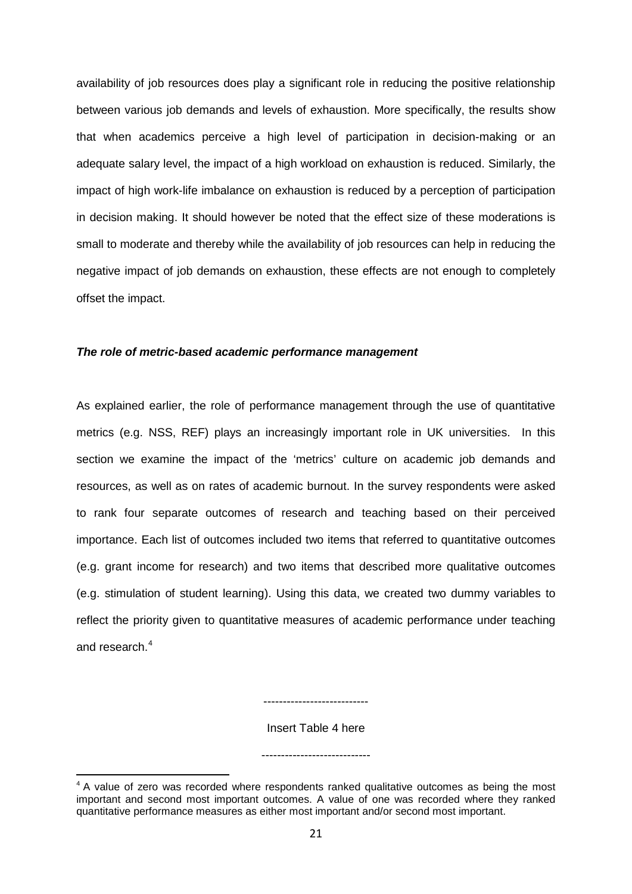availability of job resources does play a significant role in reducing the positive relationship between various job demands and levels of exhaustion. More specifically, the results show that when academics perceive a high level of participation in decision-making or an adequate salary level, the impact of a high workload on exhaustion is reduced. Similarly, the impact of high work-life imbalance on exhaustion is reduced by a perception of participation in decision making. It should however be noted that the effect size of these moderations is small to moderate and thereby while the availability of job resources can help in reducing the negative impact of job demands on exhaustion, these effects are not enough to completely offset the impact.

#### *The role of metric-based academic performance management*

As explained earlier, the role of performance management through the use of quantitative metrics (e.g. NSS, REF) plays an increasingly important role in UK universities. In this section we examine the impact of the 'metrics' culture on academic job demands and resources, as well as on rates of academic burnout. In the survey respondents were asked to rank four separate outcomes of research and teaching based on their perceived importance. Each list of outcomes included two items that referred to quantitative outcomes (e.g. grant income for research) and two items that described more qualitative outcomes (e.g. stimulation of student learning). Using this data, we created two dummy variables to reflect the priority given to quantitative measures of academic performance under teaching and research. [4](#page-20-0)

Insert Table 4 here

----------------------------

1

---------------------------

<span id="page-20-0"></span> $4$  A value of zero was recorded where respondents ranked qualitative outcomes as being the most important and second most important outcomes. A value of one was recorded where they ranked quantitative performance measures as either most important and/or second most important.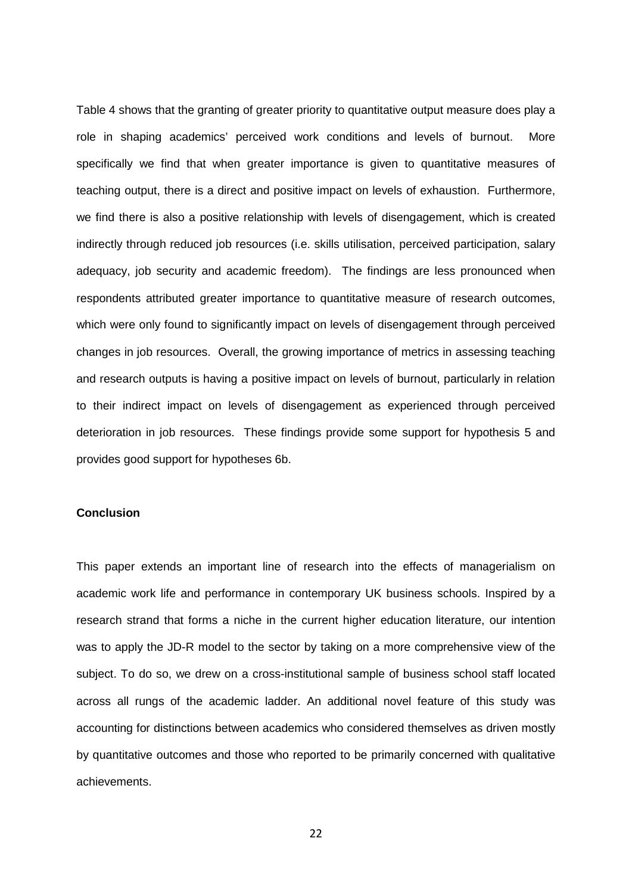Table 4 shows that the granting of greater priority to quantitative output measure does play a role in shaping academics' perceived work conditions and levels of burnout. More specifically we find that when greater importance is given to quantitative measures of teaching output, there is a direct and positive impact on levels of exhaustion. Furthermore, we find there is also a positive relationship with levels of disengagement, which is created indirectly through reduced job resources (i.e. skills utilisation, perceived participation, salary adequacy, job security and academic freedom). The findings are less pronounced when respondents attributed greater importance to quantitative measure of research outcomes, which were only found to significantly impact on levels of disengagement through perceived changes in job resources. Overall, the growing importance of metrics in assessing teaching and research outputs is having a positive impact on levels of burnout, particularly in relation to their indirect impact on levels of disengagement as experienced through perceived deterioration in job resources. These findings provide some support for hypothesis 5 and provides good support for hypotheses 6b.

#### **Conclusion**

This paper extends an important line of research into the effects of managerialism on academic work life and performance in contemporary UK business schools. Inspired by a research strand that forms a niche in the current higher education literature, our intention was to apply the JD-R model to the sector by taking on a more comprehensive view of the subject. To do so, we drew on a cross-institutional sample of business school staff located across all rungs of the academic ladder. An additional novel feature of this study was accounting for distinctions between academics who considered themselves as driven mostly by quantitative outcomes and those who reported to be primarily concerned with qualitative achievements.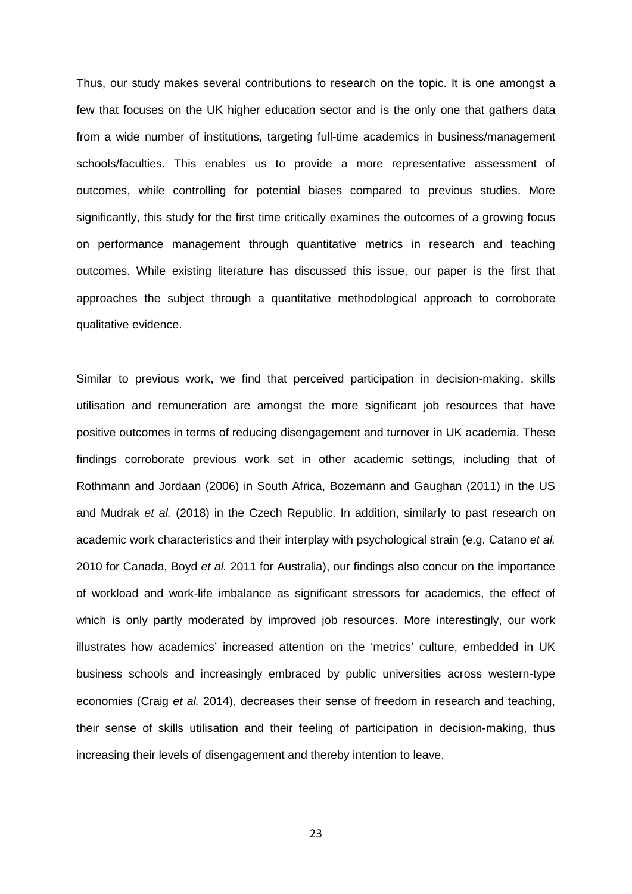Thus, our study makes several contributions to research on the topic. It is one amongst a few that focuses on the UK higher education sector and is the only one that gathers data from a wide number of institutions, targeting full-time academics in business/management schools/faculties. This enables us to provide a more representative assessment of outcomes, while controlling for potential biases compared to previous studies. More significantly, this study for the first time critically examines the outcomes of a growing focus on performance management through quantitative metrics in research and teaching outcomes. While existing literature has discussed this issue, our paper is the first that approaches the subject through a quantitative methodological approach to corroborate qualitative evidence.

Similar to previous work, we find that perceived participation in decision-making, skills utilisation and remuneration are amongst the more significant job resources that have positive outcomes in terms of reducing disengagement and turnover in UK academia. These findings corroborate previous work set in other academic settings, including that of Rothmann and Jordaan (2006) in South Africa, Bozemann and Gaughan (2011) in the US and Mudrak *et al.* (2018) in the Czech Republic. In addition, similarly to past research on academic work characteristics and their interplay with psychological strain (e.g. Catano *et al.* 2010 for Canada, Boyd *et al.* 2011 for Australia), our findings also concur on the importance of workload and work-life imbalance as significant stressors for academics, the effect of which is only partly moderated by improved job resources. More interestingly, our work illustrates how academics' increased attention on the 'metrics' culture, embedded in UK business schools and increasingly embraced by public universities across western-type economies (Craig *et al.* 2014), decreases their sense of freedom in research and teaching, their sense of skills utilisation and their feeling of participation in decision-making, thus increasing their levels of disengagement and thereby intention to leave.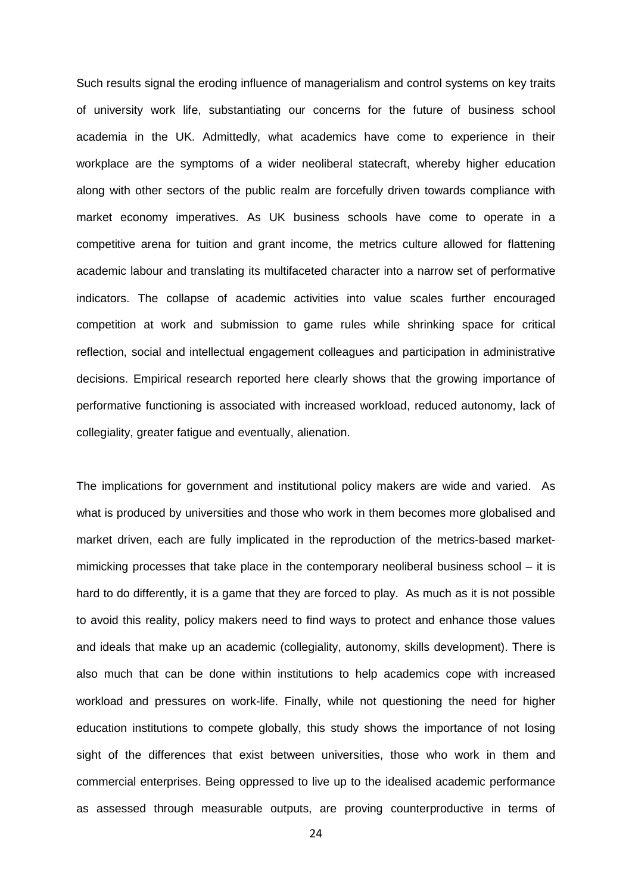Such results signal the eroding influence of managerialism and control systems on key traits of university work life, substantiating our concerns for the future of business school academia in the UK. Admittedly, what academics have come to experience in their workplace are the symptoms of a wider neoliberal statecraft, whereby higher education along with other sectors of the public realm are forcefully driven towards compliance with market economy imperatives. As UK business schools have come to operate in a competitive arena for tuition and grant income, the metrics culture allowed for flattening academic labour and translating its multifaceted character into a narrow set of performative indicators. The collapse of academic activities into value scales further encouraged competition at work and submission to game rules while shrinking space for critical reflection, social and intellectual engagement colleagues and participation in administrative decisions. Empirical research reported here clearly shows that the growing importance of performative functioning is associated with increased workload, reduced autonomy, lack of collegiality, greater fatigue and eventually, alienation.

The implications for government and institutional policy makers are wide and varied. As what is produced by universities and those who work in them becomes more globalised and market driven, each are fully implicated in the reproduction of the metrics-based marketmimicking processes that take place in the contemporary neoliberal business school – it is hard to do differently, it is a game that they are forced to play. As much as it is not possible to avoid this reality, policy makers need to find ways to protect and enhance those values and ideals that make up an academic (collegiality, autonomy, skills development). There is also much that can be done within institutions to help academics cope with increased workload and pressures on work-life. Finally, while not questioning the need for higher education institutions to compete globally, this study shows the importance of not losing sight of the differences that exist between universities, those who work in them and commercial enterprises. Being oppressed to live up to the idealised academic performance as assessed through measurable outputs, are proving counterproductive in terms of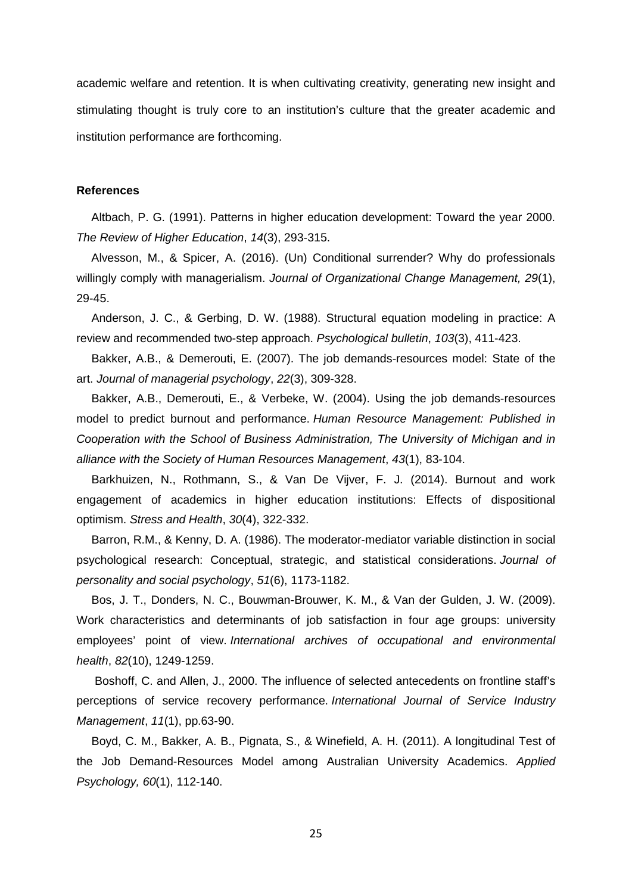academic welfare and retention. It is when cultivating creativity, generating new insight and stimulating thought is truly core to an institution's culture that the greater academic and institution performance are forthcoming.

#### **References**

Altbach, P. G. (1991). Patterns in higher education development: Toward the year 2000. *The Review of Higher Education*, *14*(3), 293-315.

Alvesson, M., & Spicer, A. (2016). (Un) Conditional surrender? Why do professionals willingly comply with managerialism. *Journal of Organizational Change Management, 29*(1), 29-45.

Anderson, J. C., & Gerbing, D. W. (1988). Structural equation modeling in practice: A review and recommended two-step approach. *Psychological bulletin*, *103*(3), 411-423.

Bakker, A.B., & Demerouti, E. (2007). The job demands-resources model: State of the art. *Journal of managerial psychology*, *22*(3), 309-328.

Bakker, A.B., Demerouti, E., & Verbeke, W. (2004). Using the job demands-resources model to predict burnout and performance. *Human Resource Management: Published in Cooperation with the School of Business Administration, The University of Michigan and in alliance with the Society of Human Resources Management*, *43*(1), 83-104.

Barkhuizen, N., Rothmann, S., & Van De Vijver, F. J. (2014). Burnout and work engagement of academics in higher education institutions: Effects of dispositional optimism. *Stress and Health*, *30*(4), 322-332.

Barron, R.M., & Kenny, D. A. (1986). The moderator-mediator variable distinction in social psychological research: Conceptual, strategic, and statistical considerations. *Journal of personality and social psychology*, *51*(6), 1173-1182.

Bos, J. T., Donders, N. C., Bouwman-Brouwer, K. M., & Van der Gulden, J. W. (2009). Work characteristics and determinants of job satisfaction in four age groups: university employees' point of view. *International archives of occupational and environmental health*, *82*(10), 1249-1259.

Boshoff, C. and Allen, J., 2000. The influence of selected antecedents on frontline staff's perceptions of service recovery performance. *International Journal of Service Industry Management*, *11*(1), pp.63-90.

Boyd, C. M., Bakker, A. B., Pignata, S., & Winefield, A. H. (2011). A longitudinal Test of the Job Demand-Resources Model among Australian University Academics. *Applied Psychology, 60*(1), 112-140.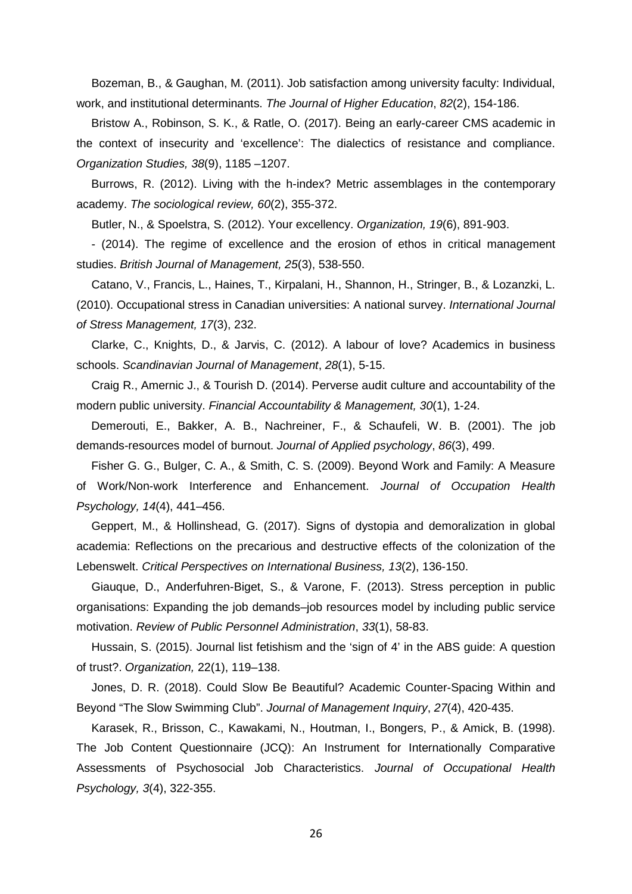Bozeman, B., & Gaughan, M. (2011). Job satisfaction among university faculty: Individual, work, and institutional determinants. *The Journal of Higher Education*, *82*(2), 154-186.

Bristow A., Robinson, S. K., & Ratle, O. (2017). Being an early-career CMS academic in the context of insecurity and 'excellence': The dialectics of resistance and compliance. *Organization Studies, 38*(9), 1185 –1207.

Burrows, R. (2012). Living with the h-index? Metric assemblages in the contemporary academy. *The sociological review, 60*(2), 355-372.

Butler, N., & Spoelstra, S. (2012). Your excellency. *Organization, 19*(6), 891-903.

- (2014). The regime of excellence and the erosion of ethos in critical management studies. *British Journal of Management, 25*(3), 538-550.

Catano, V., Francis, L., Haines, T., Kirpalani, H., Shannon, H., Stringer, B., & Lozanzki, L. (2010). Occupational stress in Canadian universities: A national survey. *International Journal of Stress Management, 17*(3), 232.

Clarke, C., Knights, D., & Jarvis, C. (2012). A labour of love? Academics in business schools. *Scandinavian Journal of Management*, *28*(1), 5-15.

Craig R., Amernic J., & Tourish D. (2014). Perverse audit culture and accountability of the modern public university. *Financial Accountability & Management, 30*(1), 1-24.

Demerouti, E., Bakker, A. B., Nachreiner, F., & Schaufeli, W. B. (2001). The job demands-resources model of burnout. *Journal of Applied psychology*, *86*(3), 499.

Fisher G. G., Bulger, C. A., & Smith, C. S. (2009). Beyond Work and Family: A Measure of Work/Non-work Interference and Enhancement. *Journal of Occupation Health Psychology, 14*(4), 441–456.

Geppert, M., & Hollinshead, G. (2017). Signs of dystopia and demoralization in global academia: Reflections on the precarious and destructive effects of the colonization of the Lebenswelt. *Critical Perspectives on International Business, 13*(2), 136-150.

Giauque, D., Anderfuhren-Biget, S., & Varone, F. (2013). Stress perception in public organisations: Expanding the job demands–job resources model by including public service motivation. *Review of Public Personnel Administration*, *33*(1), 58-83.

Hussain, S. (2015). Journal list fetishism and the 'sign of 4' in the ABS guide: A question of trust?. *Organization,* 22(1), 119–138.

Jones, D. R. (2018). Could Slow Be Beautiful? Academic Counter-Spacing Within and Beyond "The Slow Swimming Club". *Journal of Management Inquiry*, *27*(4), 420-435.

Karasek, R., Brisson, C., Kawakami, N., Houtman, I., Bongers, P., & Amick, B. (1998). The Job Content Questionnaire (JCQ): An Instrument for Internationally Comparative Assessments of Psychosocial Job Characteristics. *Journal of Occupational Health Psychology, 3*(4), 322-355.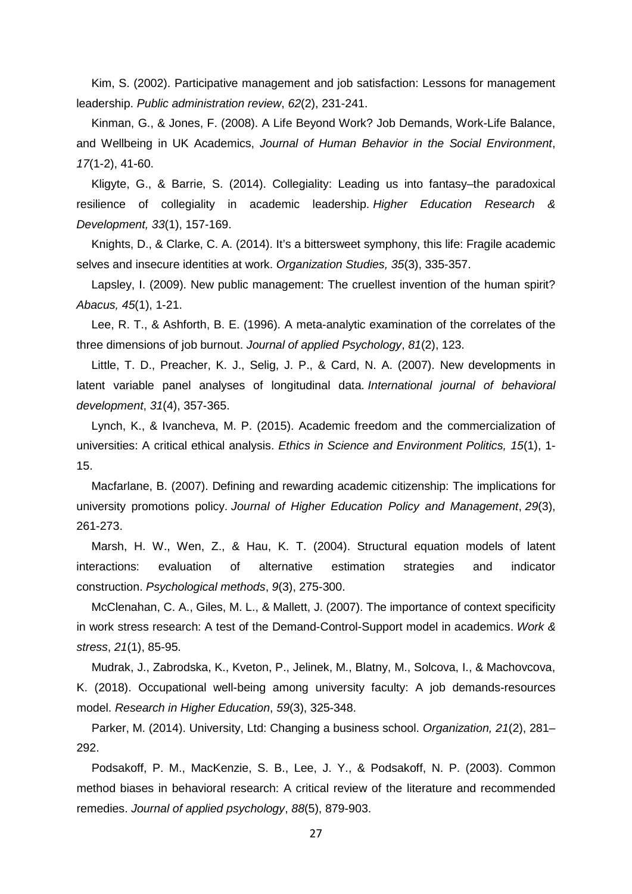Kim, S. (2002). Participative management and job satisfaction: Lessons for management leadership. *Public administration review*, *62*(2), 231-241.

Kinman, G., & Jones, F. (2008). A Life Beyond Work? Job Demands, Work-Life Balance, and Wellbeing in UK Academics, *Journal of Human Behavior in the Social Environment*, *17*(1-2), 41-60.

Kligyte, G., & Barrie, S. (2014). Collegiality: Leading us into fantasy–the paradoxical resilience of collegiality in academic leadership. *Higher Education Research & Development, 33*(1), 157-169.

Knights, D., & Clarke, C. A. (2014). It's a bittersweet symphony, this life: Fragile academic selves and insecure identities at work. *Organization Studies, 35*(3), 335-357.

Lapsley, I. (2009). New public management: The cruellest invention of the human spirit? *Abacus, 45*(1), 1-21.

Lee, R. T., & Ashforth, B. E. (1996). A meta-analytic examination of the correlates of the three dimensions of job burnout. *Journal of applied Psychology*, *81*(2), 123.

Little, T. D., Preacher, K. J., Selig, J. P., & Card, N. A. (2007). New developments in latent variable panel analyses of longitudinal data. *International journal of behavioral development*, *31*(4), 357-365.

Lynch, K., & Ivancheva, M. P. (2015). Academic freedom and the commercialization of universities: A critical ethical analysis. *Ethics in Science and Environment Politics, 15*(1), 1- 15.

Macfarlane, B. (2007). Defining and rewarding academic citizenship: The implications for university promotions policy. *Journal of Higher Education Policy and Management*, *29*(3), 261-273.

Marsh, H. W., Wen, Z., & Hau, K. T. (2004). Structural equation models of latent interactions: evaluation of alternative estimation strategies and indicator construction. *Psychological methods*, *9*(3), 275-300.

McClenahan, C. A., Giles, M. L., & Mallett, J. (2007). The importance of context specificity in work stress research: A test of the Demand-Control-Support model in academics. *Work & stress*, *21*(1), 85-95.

Mudrak, J., Zabrodska, K., Kveton, P., Jelinek, M., Blatny, M., Solcova, I., & Machovcova, K. (2018). Occupational well-being among university faculty: A job demands-resources model. *Research in Higher Education*, *59*(3), 325-348.

Parker, M. (2014). University, Ltd: Changing a business school. *Organization, 21*(2), 281– 292.

Podsakoff, P. M., MacKenzie, S. B., Lee, J. Y., & Podsakoff, N. P. (2003). Common method biases in behavioral research: A critical review of the literature and recommended remedies. *Journal of applied psychology*, *88*(5), 879-903.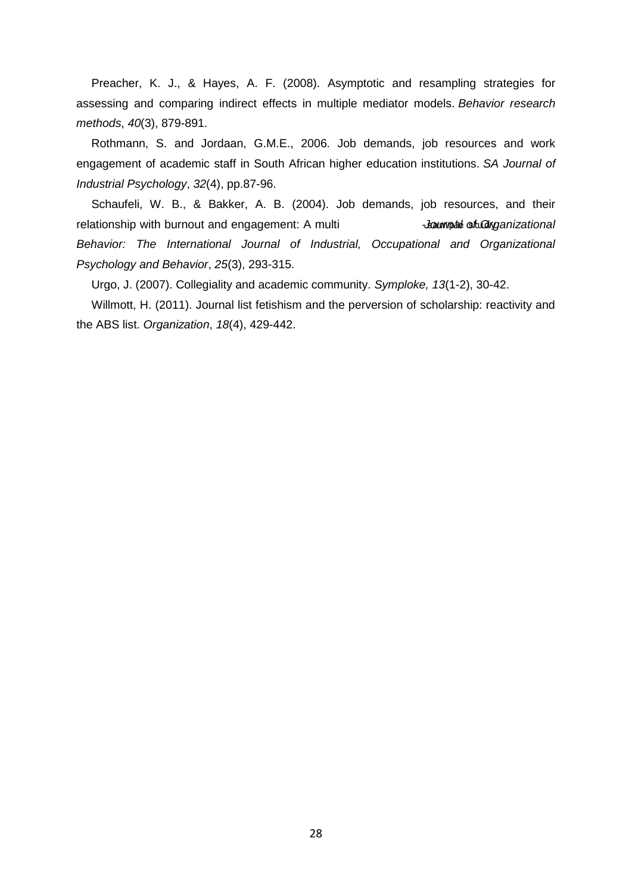Preacher, K. J., & Hayes, A. F. (2008). Asymptotic and resampling strategies for assessing and comparing indirect effects in multiple mediator models. *Behavior research methods*, *40*(3), 879-891.

Rothmann, S. and Jordaan, G.M.E., 2006. Job demands, job resources and work engagement of academic staff in South African higher education institutions. *SA Journal of Industrial Psychology*, *32*(4), pp.87-96.

Schaufeli, W. B., & Bakker, A. B. (2004). Job demands, job resources, and their relationship with burnout and engagement: A multi *Jaumpal studiganizational Behavior: The International Journal of Industrial, Occupational and Organizational Psychology and Behavior*, *25*(3), 293-315.

Urgo, J. (2007). Collegiality and academic community. *Symploke, 13*(1-2), 30-42.

Willmott, H. (2011). Journal list fetishism and the perversion of scholarship: reactivity and the ABS list. *Organization*, *18*(4), 429-442.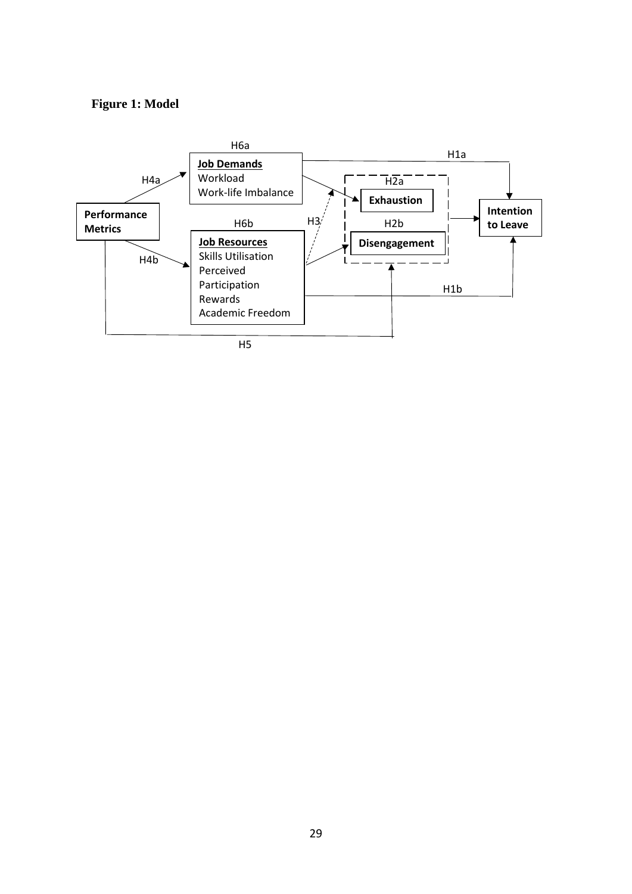## **Figure 1: Model**

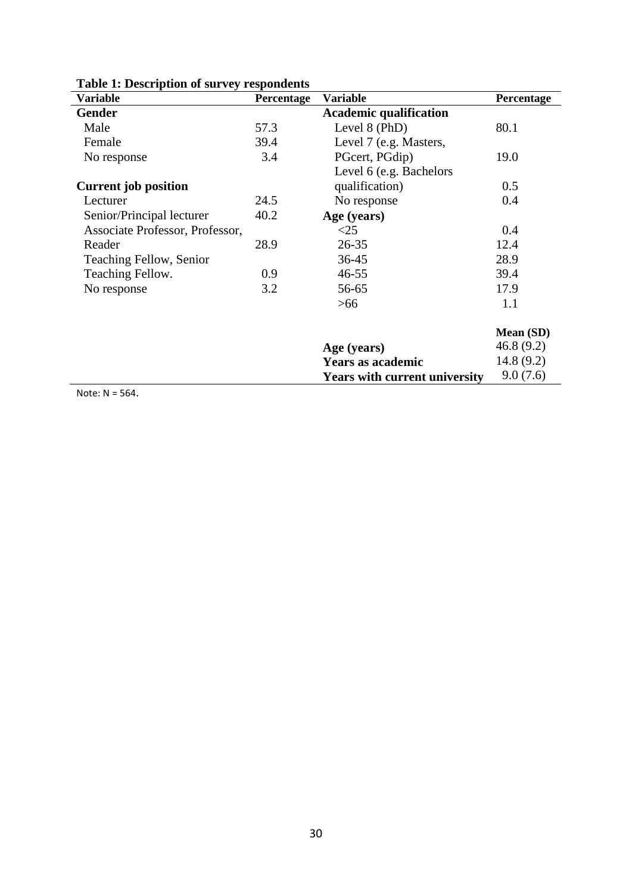| Lable 1. Description of survey respondents |            |                                      |            |  |  |  |  |  |
|--------------------------------------------|------------|--------------------------------------|------------|--|--|--|--|--|
| Variable                                   | Percentage | <b>Variable</b>                      | Percentage |  |  |  |  |  |
| <b>Gender</b>                              |            | <b>Academic qualification</b>        |            |  |  |  |  |  |
| Male                                       | 57.3       | Level 8 (PhD)                        | 80.1       |  |  |  |  |  |
| Female                                     | 39.4       | Level 7 (e.g. Masters,               |            |  |  |  |  |  |
| No response                                | 3.4        | PGcert, PGdip)                       | 19.0       |  |  |  |  |  |
|                                            |            | Level 6 (e.g. Bachelors              |            |  |  |  |  |  |
| <b>Current job position</b>                |            | qualification)                       | 0.5        |  |  |  |  |  |
| Lecturer                                   | 24.5       | No response                          | 0.4        |  |  |  |  |  |
| Senior/Principal lecturer                  | 40.2       | Age (years)                          |            |  |  |  |  |  |
| Associate Professor, Professor,            |            | $<$ 25                               | 0.4        |  |  |  |  |  |
| Reader                                     | 28.9       | $26 - 35$                            | 12.4       |  |  |  |  |  |
| Teaching Fellow, Senior                    |            | $36 - 45$                            | 28.9       |  |  |  |  |  |
| Teaching Fellow.                           | 0.9        | $46 - 55$                            | 39.4       |  |  |  |  |  |
| No response                                | 3.2        | 56-65                                | 17.9       |  |  |  |  |  |
|                                            |            | $>66$                                | 1.1        |  |  |  |  |  |
|                                            |            |                                      |            |  |  |  |  |  |
|                                            |            |                                      | Mean (SD)  |  |  |  |  |  |
|                                            |            | Age (years)                          | 46.8 (9.2) |  |  |  |  |  |
|                                            |            | <b>Years as academic</b>             | 14.8(9.2)  |  |  |  |  |  |
|                                            |            | <b>Years with current university</b> | 9.0(7.6)   |  |  |  |  |  |

**Table 1: Description of survey respondents**

Note: N = 564.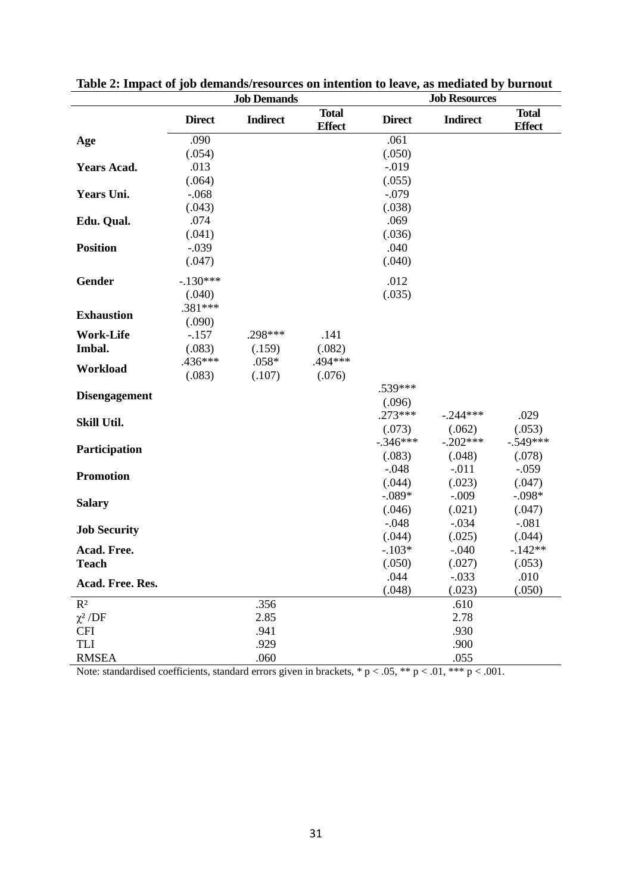|                      |               | <b>Job Demands</b> |                               | <b>Job Resources</b> |                   |                               |  |  |  |
|----------------------|---------------|--------------------|-------------------------------|----------------------|-------------------|-------------------------------|--|--|--|
|                      | <b>Direct</b> | <b>Indirect</b>    | <b>Total</b><br><b>Effect</b> | <b>Direct</b>        | <b>Indirect</b>   | <b>Total</b><br><b>Effect</b> |  |  |  |
| Age                  | .090          |                    |                               | .061                 |                   |                               |  |  |  |
|                      | (.054)        |                    |                               | (.050)               |                   |                               |  |  |  |
| <b>Years Acad.</b>   | .013          |                    |                               | $-0.019$             |                   |                               |  |  |  |
|                      | (.064)        |                    |                               | (.055)               |                   |                               |  |  |  |
| Years Uni.           | $-.068$       |                    |                               | $-.079$              |                   |                               |  |  |  |
|                      | (.043)        |                    |                               | (.038)               |                   |                               |  |  |  |
| Edu. Qual.           | .074          |                    |                               | .069                 |                   |                               |  |  |  |
|                      | (.041)        |                    |                               | (.036)               |                   |                               |  |  |  |
| <b>Position</b>      | $-.039$       |                    |                               | .040                 |                   |                               |  |  |  |
|                      | (.047)        |                    |                               | (.040)               |                   |                               |  |  |  |
| Gender               | $-.130***$    |                    |                               | .012                 |                   |                               |  |  |  |
|                      | (.040)        |                    |                               | (.035)               |                   |                               |  |  |  |
|                      | .381***       |                    |                               |                      |                   |                               |  |  |  |
| <b>Exhaustion</b>    | (.090)        |                    |                               |                      |                   |                               |  |  |  |
| <b>Work-Life</b>     | $-.157$       | .298***            | .141                          |                      |                   |                               |  |  |  |
| Imbal.               | (.083)        | (.159)             | (.082)                        |                      |                   |                               |  |  |  |
| Workload             | .436***       | $.058*$            | .494 ***                      |                      |                   |                               |  |  |  |
|                      | (.083)        | (.107)             | (.076)                        |                      |                   |                               |  |  |  |
| <b>Disengagement</b> |               |                    |                               | .539***              |                   |                               |  |  |  |
|                      |               |                    |                               | (.096)               |                   |                               |  |  |  |
| Skill Util.          |               |                    |                               | $.273***$            | $-.244***$        | .029                          |  |  |  |
|                      |               |                    |                               | (.073)               | (.062)            | (.053)                        |  |  |  |
| Participation        |               |                    |                               | $-.346***$           | $-.202***$        | $-.549***$                    |  |  |  |
|                      |               |                    |                               | (.083)               | (.048)            | (.078)                        |  |  |  |
| <b>Promotion</b>     |               |                    |                               | $-.048$              | $-.011$           | $-.059$                       |  |  |  |
|                      |               |                    |                               | (.044)               | (.023)            | (.047)                        |  |  |  |
| <b>Salary</b>        |               |                    |                               | $-.089*$             | $-.009$           | $-.098*$                      |  |  |  |
|                      |               |                    |                               | (.046)               | (.021)            | (.047)                        |  |  |  |
| <b>Job Security</b>  |               |                    |                               | $-.048$              | $-.034$           | $-.081$                       |  |  |  |
|                      |               |                    |                               | (.044)<br>$-.103*$   | (.025)<br>$-.040$ | (.044)<br>$-142**$            |  |  |  |
| Acad. Free.          |               |                    |                               | (.050)               | (.027)            | (.053)                        |  |  |  |
| <b>Teach</b>         |               |                    |                               | .044                 | $-.033$           | .010                          |  |  |  |
| Acad. Free. Res.     |               |                    |                               | (.048)               | (.023)            | (.050)                        |  |  |  |
| $R^2$                |               | .356               |                               |                      | .610              |                               |  |  |  |
| $\chi^2$ /DF         |               | 2.85               |                               |                      | 2.78              |                               |  |  |  |
| <b>CFI</b>           |               | .941               |                               |                      | .930              |                               |  |  |  |
| TLI                  |               | .929               |                               |                      | .900              |                               |  |  |  |
| <b>RMSEA</b>         |               | .060               |                               |                      | .055              |                               |  |  |  |

**Table 2: Impact of job demands/resources on intention to leave, as mediated by burnout**

Note: standardised coefficients, standard errors given in brackets,  $* p < .05$ ,  $** p < .01$ ,  $*** p < .001$ .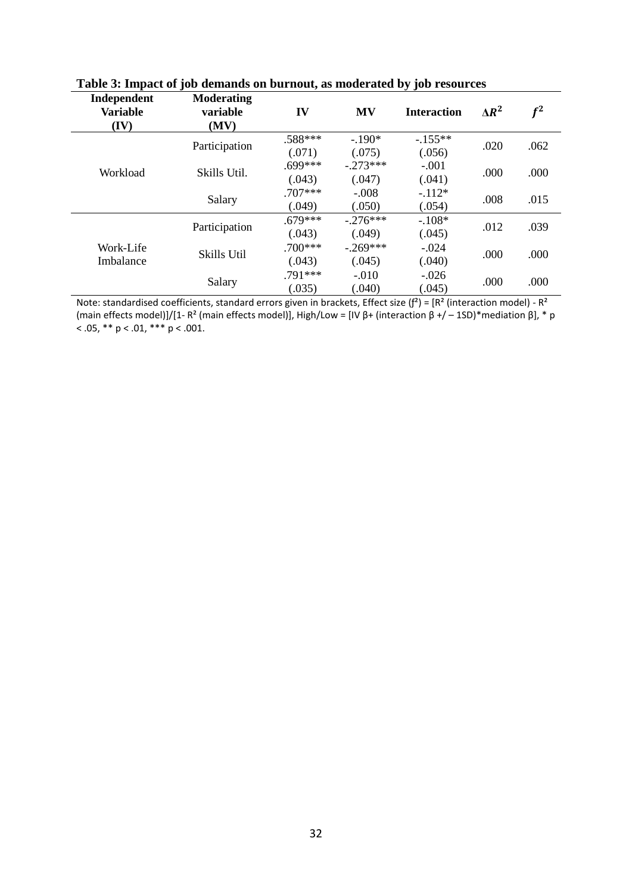| Independent<br><b>Variable</b><br>(IV) | $\cdot$<br><b>Moderating</b><br>variable<br>(MV) | IV                  | <b>MV</b>            | ັັບ -<br><b>Interaction</b> | $\Delta R^2$ | $f^2$ |
|----------------------------------------|--------------------------------------------------|---------------------|----------------------|-----------------------------|--------------|-------|
|                                        | Participation                                    | .588***<br>(.071)   | $-.190*$<br>(.075)   | $-.155**$<br>(.056)         | .020         | .062  |
| Workload                               | Skills Util.                                     | .699***<br>(.043)   | $-273***$<br>(.047)  | $-.001$<br>(.041)           | .000         | .000  |
|                                        | Salary                                           | $.707***$<br>(.049) | $-.008$<br>(.050)    | $-.112*$<br>(.054)          | .008         | .015  |
|                                        | Participation                                    | $.679***$<br>(.043) | $-.276***$<br>(.049) | $-.108*$<br>(.045)          | .012         | .039  |
| Work-Life<br>Imbalance                 | Skills Util                                      | $.700***$<br>(.043) | $-.269***$<br>(.045) | $-.024$<br>(.040)           | .000         | .000  |
|                                        | Salary                                           | .791***<br>(.035)   | $-.010$<br>(.040)    | $-.026$<br>(.045)           | .000         | .000  |

| Table 3: Impact of job demands on burnout, as moderated by job resources |  |  |
|--------------------------------------------------------------------------|--|--|
|                                                                          |  |  |

Note: standardised coefficients, standard errors given in brackets, Effect size  $(f^2) = [R^2$  (interaction model) -  $R^2$ (main effects model)]/[1- R<sup>2</sup> (main effects model)], High/Low = [IV β+ (interaction  $\beta$  +/ – 1SD)\*mediation  $\beta$ ], \* p  $<$  .05, \*\* p  $<$  .01, \*\*\* p  $<$  .001.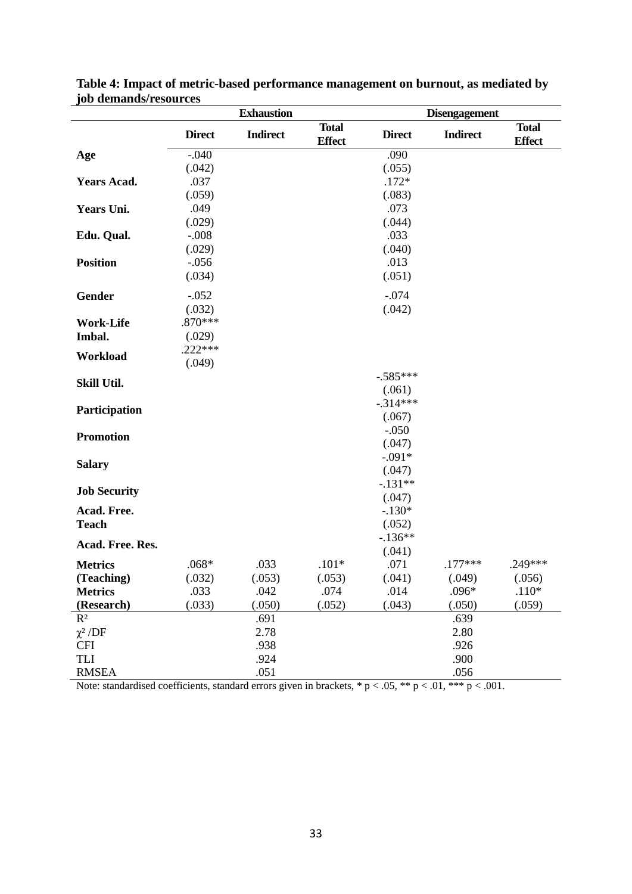|                     |               | <b>Exhaustion</b> |                               | <b>Disengagement</b> |                 |                               |  |  |  |
|---------------------|---------------|-------------------|-------------------------------|----------------------|-----------------|-------------------------------|--|--|--|
|                     | <b>Direct</b> | <b>Indirect</b>   | <b>Total</b><br><b>Effect</b> | <b>Direct</b>        | <b>Indirect</b> | <b>Total</b><br><b>Effect</b> |  |  |  |
| Age                 | $-.040$       |                   |                               | .090                 |                 |                               |  |  |  |
|                     | (.042)        |                   |                               | (.055)               |                 |                               |  |  |  |
| <b>Years Acad.</b>  | .037          |                   |                               | $.172*$              |                 |                               |  |  |  |
|                     | (.059)        |                   |                               | (.083)               |                 |                               |  |  |  |
| Years Uni.          | .049          |                   |                               | .073                 |                 |                               |  |  |  |
|                     | (.029)        |                   |                               | (.044)               |                 |                               |  |  |  |
| Edu. Qual.          | $-.008$       |                   |                               | .033                 |                 |                               |  |  |  |
|                     | (.029)        |                   |                               | (.040)               |                 |                               |  |  |  |
| <b>Position</b>     | $-0.056$      |                   |                               | .013                 |                 |                               |  |  |  |
|                     | (.034)        |                   |                               | (.051)               |                 |                               |  |  |  |
| Gender              | $-.052$       |                   |                               | $-.074$              |                 |                               |  |  |  |
|                     | (.032)        |                   |                               | (.042)               |                 |                               |  |  |  |
| <b>Work-Life</b>    | .870***       |                   |                               |                      |                 |                               |  |  |  |
| Imbal.              | (.029)        |                   |                               |                      |                 |                               |  |  |  |
|                     | $.222***$     |                   |                               |                      |                 |                               |  |  |  |
| Workload            | (.049)        |                   |                               |                      |                 |                               |  |  |  |
| Skill Util.         |               |                   |                               | $-.585***$           |                 |                               |  |  |  |
|                     |               |                   |                               | (.061)               |                 |                               |  |  |  |
| Participation       |               |                   |                               | $-.314***$           |                 |                               |  |  |  |
|                     |               |                   |                               | (.067)               |                 |                               |  |  |  |
|                     |               |                   |                               | $-.050$              |                 |                               |  |  |  |
| <b>Promotion</b>    |               |                   |                               | (.047)               |                 |                               |  |  |  |
|                     |               |                   |                               | $-.091*$             |                 |                               |  |  |  |
| <b>Salary</b>       |               |                   |                               | (.047)               |                 |                               |  |  |  |
|                     |               |                   |                               | $-.131**$            |                 |                               |  |  |  |
| <b>Job Security</b> |               |                   |                               | (.047)               |                 |                               |  |  |  |
| Acad. Free.         |               |                   |                               | $-.130*$             |                 |                               |  |  |  |
| <b>Teach</b>        |               |                   |                               | (.052)               |                 |                               |  |  |  |
|                     |               |                   |                               | $-136**$             |                 |                               |  |  |  |
| Acad. Free. Res.    |               |                   |                               | (.041)               |                 |                               |  |  |  |
| <b>Metrics</b>      | $.068*$       | .033              | $.101*$                       | .071                 | $.177***$       | $.249***$                     |  |  |  |
| (Teaching)          | (.032)        | (.053)            | (.053)                        | (.041)               | (.049)          | (.056)                        |  |  |  |
| <b>Metrics</b>      | .033          | .042              | .074                          | .014                 | .096*           | $.110*$                       |  |  |  |
| (Research)          | (.033)        | (.050)            | (.052)                        | (.043)               | (.050)          | (.059)                        |  |  |  |
| $R^2$               |               | .691              |                               |                      | .639            |                               |  |  |  |
| $\chi^2$ /DF        |               | 2.78              |                               |                      | 2.80            |                               |  |  |  |
| <b>CFI</b>          |               | .938              |                               |                      | .926            |                               |  |  |  |
| TLI                 |               | .924              |                               |                      | .900            |                               |  |  |  |
| <b>RMSEA</b>        |               | .051              |                               |                      | .056            |                               |  |  |  |

**Table 4: Impact of metric-based performance management on burnout, as mediated by job demands/resources**

Note: standardised coefficients, standard errors given in brackets,  $* p < .05$ ,  $** p < .01$ ,  $*** p < .001$ .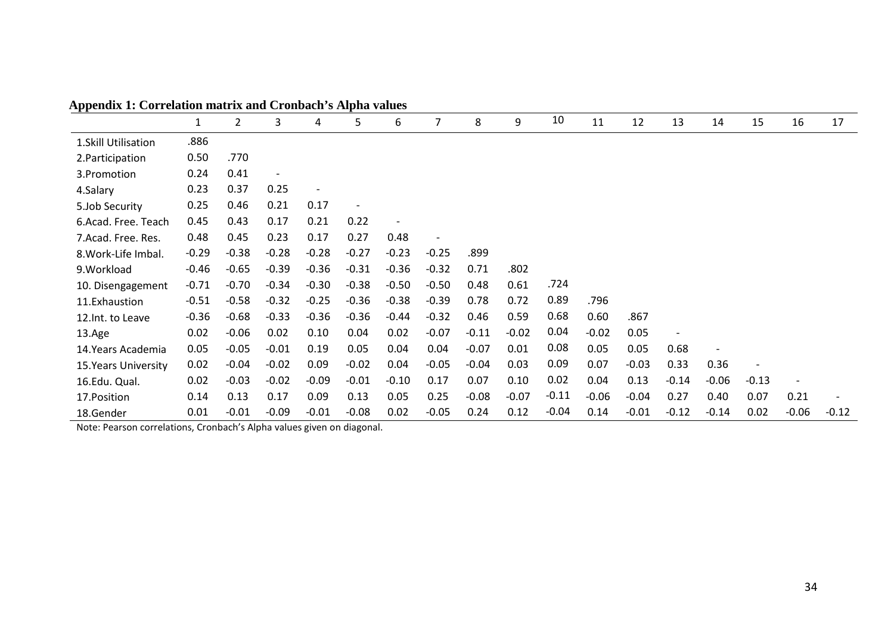|                      | 1       | $\overline{2}$ | 3       | 4                        | 5       | 6       |                          | 8       | 9       | 10      | 11      | 12      | 13      | 14                       | 15             | 16      | 17      |
|----------------------|---------|----------------|---------|--------------------------|---------|---------|--------------------------|---------|---------|---------|---------|---------|---------|--------------------------|----------------|---------|---------|
| 1. Skill Utilisation | .886    |                |         |                          |         |         |                          |         |         |         |         |         |         |                          |                |         |         |
| 2. Participation     | 0.50    | .770           |         |                          |         |         |                          |         |         |         |         |         |         |                          |                |         |         |
| 3. Promotion         | 0.24    | 0.41           |         |                          |         |         |                          |         |         |         |         |         |         |                          |                |         |         |
| 4.Salary             | 0.23    | 0.37           | 0.25    | $\overline{\phantom{a}}$ |         |         |                          |         |         |         |         |         |         |                          |                |         |         |
| 5.Job Security       | 0.25    | 0.46           | 0.21    | 0.17                     |         |         |                          |         |         |         |         |         |         |                          |                |         |         |
| 6.Acad. Free. Teach  | 0.45    | 0.43           | 0.17    | 0.21                     | 0.22    |         |                          |         |         |         |         |         |         |                          |                |         |         |
| 7.Acad. Free. Res.   | 0.48    | 0.45           | 0.23    | 0.17                     | 0.27    | 0.48    | $\overline{\phantom{a}}$ |         |         |         |         |         |         |                          |                |         |         |
| 8. Work-Life Imbal.  | $-0.29$ | $-0.38$        | $-0.28$ | $-0.28$                  | $-0.27$ | $-0.23$ | $-0.25$                  | .899    |         |         |         |         |         |                          |                |         |         |
| 9. Workload          | $-0.46$ | $-0.65$        | $-0.39$ | $-0.36$                  | $-0.31$ | $-0.36$ | $-0.32$                  | 0.71    | .802    |         |         |         |         |                          |                |         |         |
| 10. Disengagement    | $-0.71$ | $-0.70$        | $-0.34$ | $-0.30$                  | $-0.38$ | $-0.50$ | $-0.50$                  | 0.48    | 0.61    | .724    |         |         |         |                          |                |         |         |
| 11.Exhaustion        | $-0.51$ | $-0.58$        | $-0.32$ | $-0.25$                  | $-0.36$ | $-0.38$ | $-0.39$                  | 0.78    | 0.72    | 0.89    | .796    |         |         |                          |                |         |         |
| 12.Int. to Leave     | $-0.36$ | $-0.68$        | $-0.33$ | $-0.36$                  | $-0.36$ | $-0.44$ | $-0.32$                  | 0.46    | 0.59    | 0.68    | 0.60    | .867    |         |                          |                |         |         |
| 13.Age               | 0.02    | $-0.06$        | 0.02    | 0.10                     | 0.04    | 0.02    | $-0.07$                  | $-0.11$ | $-0.02$ | 0.04    | $-0.02$ | 0.05    |         |                          |                |         |         |
| 14. Years Academia   | 0.05    | $-0.05$        | $-0.01$ | 0.19                     | 0.05    | 0.04    | 0.04                     | $-0.07$ | 0.01    | 0.08    | 0.05    | 0.05    | 0.68    | $\overline{\phantom{a}}$ |                |         |         |
| 15. Years University | 0.02    | $-0.04$        | $-0.02$ | 0.09                     | $-0.02$ | 0.04    | $-0.05$                  | $-0.04$ | 0.03    | 0.09    | 0.07    | $-0.03$ | 0.33    | 0.36                     | $\overline{a}$ |         |         |
| 16.Edu. Qual.        | 0.02    | $-0.03$        | $-0.02$ | $-0.09$                  | $-0.01$ | $-0.10$ | 0.17                     | 0.07    | 0.10    | 0.02    | 0.04    | 0.13    | $-0.14$ | $-0.06$                  | $-0.13$        |         |         |
| 17. Position         | 0.14    | 0.13           | 0.17    | 0.09                     | 0.13    | 0.05    | 0.25                     | $-0.08$ | $-0.07$ | $-0.11$ | $-0.06$ | $-0.04$ | 0.27    | 0.40                     | 0.07           | 0.21    |         |
| 18.Gender            | 0.01    | $-0.01$        | $-0.09$ | $-0.01$                  | $-0.08$ | 0.02    | $-0.05$                  | 0.24    | 0.12    | $-0.04$ | 0.14    | $-0.01$ | $-0.12$ | $-0.14$                  | 0.02           | $-0.06$ | $-0.12$ |

**Appendix 1: Correlation matrix and Cronbach's Alpha values**

Note: Pearson correlations, Cronbach's Alpha values given on diagonal.